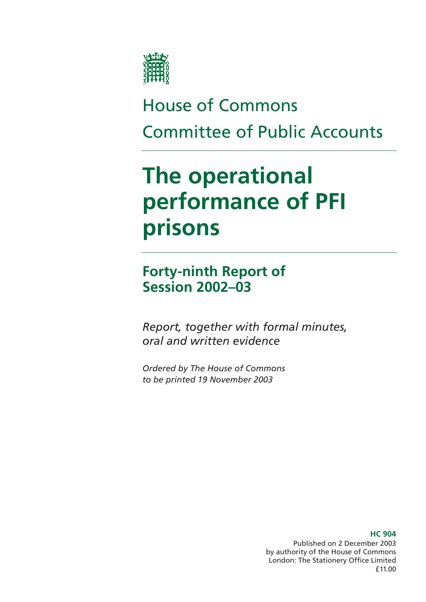

# House of Commons Committee of Public Accounts

# **The operational performance of PFI prisons**

**Forty-ninth Report of Session 2002–03** 

*Report, together with formal minutes, oral and written evidence* 

*Ordered by The House of Commons to be printed 19 November 2003* 

> Published on 2 December 2003 by authority of the House of Commons London: The Stationery Office Limited £11.00

### **HC 904**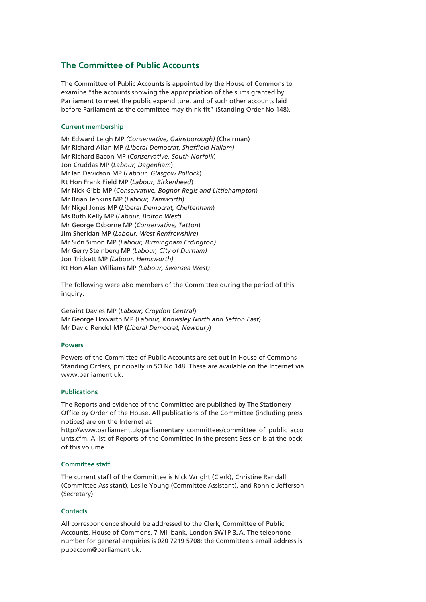### **The Committee of Public Accounts**

The Committee of Public Accounts is appointed by the House of Commons to examine "the accounts showing the appropriation of the sums granted by Parliament to meet the public expenditure, and of such other accounts laid before Parliament as the committee may think fit" (Standing Order No 148).

### **Current membership**

Mr Edward Leigh MP *(Conservative, Gainsborough)* (Chairman) Mr Richard Allan MP *(Liberal Democrat, Sheffield Hallam)*  Mr Richard Bacon MP (*Conservative, South Norfolk*) Jon Cruddas MP (*Labour, Dagenham*) Mr Ian Davidson MP (*Labour, Glasgow Pollock*) Rt Hon Frank Field MP (*Labour, Birkenhead*) Mr Nick Gibb MP (*Conservative, Bognor Regis and Littlehampton*) Mr Brian Jenkins MP (*Labour, Tamworth*) Mr Nigel Jones MP (*Liberal Democrat, Cheltenham*) Ms Ruth Kelly MP (*Labour, Bolton West*) Mr George Osborne MP (*Conservative, Tatton*) Jim Sheridan MP (*Labour, West Renfrewshire*) Mr Siôn Simon MP *(Labour, Birmingham Erdington)* Mr Gerry Steinberg MP *(Labour, City of Durham)*  Jon Trickett MP *(Labour, Hemsworth)* Rt Hon Alan Williams MP *(Labour, Swansea West)* 

The following were also members of the Committee during the period of this inquiry.

Geraint Davies MP (*Labour, Croydon Central*) Mr George Howarth MP (*Labour, Knowsley North and Sefton East*) Mr David Rendel MP (*Liberal Democrat, Newbury*)

### **Powers**

Powers of the Committee of Public Accounts are set out in House of Commons Standing Orders, principally in SO No 148. These are available on the Internet via www.parliament.uk.

### **Publications**

The Reports and evidence of the Committee are published by The Stationery Office by Order of the House. All publications of the Committee (including press notices) are on the Internet at

http://www.parliament.uk/parliamentary\_committees/committee\_of\_public\_acco unts.cfm. A list of Reports of the Committee in the present Session is at the back of this volume.

### **Committee staff**

The current staff of the Committee is Nick Wright (Clerk), Christine Randall (Committee Assistant), Leslie Young (Committee Assistant), and Ronnie Jefferson (Secretary).

### **Contacts**

All correspondence should be addressed to the Clerk, Committee of Public Accounts, House of Commons, 7 Millbank, London SW1P 3JA. The telephone number for general enquiries is 020 7219 5708; the Committee's email address is pubaccom@parliament.uk.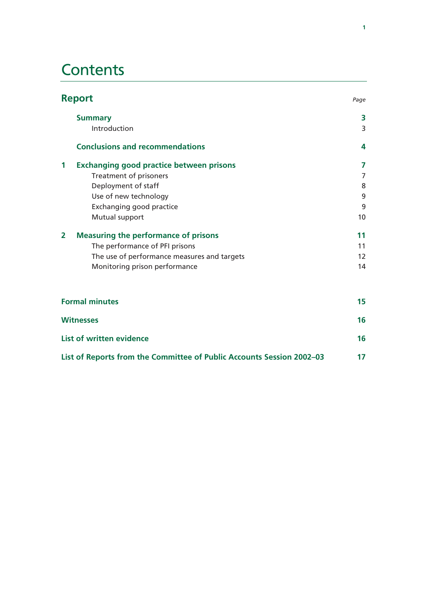## **Contents**

| <b>Report</b>                                                 | Page |
|---------------------------------------------------------------|------|
| <b>Summary</b>                                                | 3    |
| Introduction                                                  | 3    |
| <b>Conclusions and recommendations</b>                        | 4    |
| 1<br><b>Exchanging good practice between prisons</b>          | 7    |
| Treatment of prisoners                                        | 7    |
| Deployment of staff                                           | 8    |
| Use of new technology                                         | 9    |
| Exchanging good practice                                      | 9    |
| Mutual support                                                | 10   |
| <b>Measuring the performance of prisons</b><br>$\overline{2}$ | 11   |
| The performance of PFI prisons                                | 11   |
| The use of performance measures and targets                   | 12   |
| Monitoring prison performance                                 | 14   |
| <b>Formal minutes</b>                                         | 15   |
| <b>Witnesses</b>                                              | 16   |
| List of written evidence                                      | 16   |

| List of Reports from the Committee of Public Accounts Session 2002-03 |  |
|-----------------------------------------------------------------------|--|
|                                                                       |  |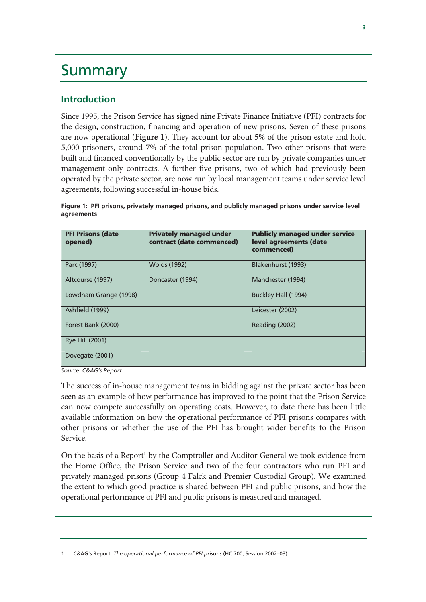## **Summary**

## **Introduction**

Since 1995, the Prison Service has signed nine Private Finance Initiative (PFI) contracts for the design, construction, financing and operation of new prisons. Seven of these prisons are now operational (**Figure 1**). They account for about 5% of the prison estate and hold 5,000 prisoners, around 7% of the total prison population. Two other prisons that were built and financed conventionally by the public sector are run by private companies under management-only contracts. A further five prisons, two of which had previously been operated by the private sector, are now run by local management teams under service level agreements, following successful in-house bids.

| Figure 1: PFI prisons, privately managed prisons, and publicly managed prisons under service level |  |
|----------------------------------------------------------------------------------------------------|--|
| agreements                                                                                         |  |

| <b>PFI Prisons (date</b><br>opened) | <b>Privately managed under</b><br>contract (date commenced) | <b>Publicly managed under service</b><br>level agreements (date<br>commenced) |
|-------------------------------------|-------------------------------------------------------------|-------------------------------------------------------------------------------|
| Parc (1997)                         | <b>Wolds (1992)</b>                                         | Blakenhurst (1993)                                                            |
| Altcourse (1997)                    | Doncaster (1994)                                            | Manchester (1994)                                                             |
| Lowdham Grange (1998)               |                                                             | Buckley Hall (1994)                                                           |
| Ashfield (1999)                     |                                                             | Leicester (2002)                                                              |
| Forest Bank (2000)                  |                                                             | Reading (2002)                                                                |
| <b>Rye Hill (2001)</b>              |                                                             |                                                                               |
| Dovegate (2001)                     |                                                             |                                                                               |

*Source: C&AG's Report* 

The success of in-house management teams in bidding against the private sector has been seen as an example of how performance has improved to the point that the Prison Service can now compete successfully on operating costs. However, to date there has been little available information on how the operational performance of PFI prisons compares with other prisons or whether the use of the PFI has brought wider benefits to the Prison Service.

On the basis of a Report<sup>1</sup> by the Comptroller and Auditor General we took evidence from the Home Office, the Prison Service and two of the four contractors who run PFI and privately managed prisons (Group 4 Falck and Premier Custodial Group). We examined the extent to which good practice is shared between PFI and public prisons, and how the operational performance of PFI and public prisons is measured and managed.

1 C&AG's Report, *The operational performance of PFI prisons* (HC 700, Session 2002–03)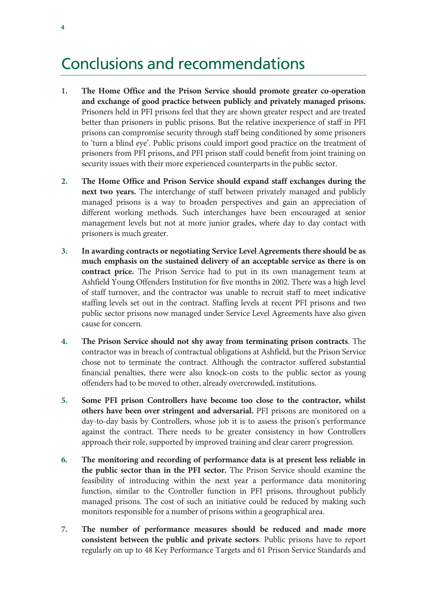## Conclusions and recommendations

- **1. The Home Office and the Prison Service should promote greater co-operation and exchange of good practice between publicly and privately managed prisons.** Prisoners held in PFI prisons feel that they are shown greater respect and are treated better than prisoners in public prisons. But the relative inexperience of staff in PFI prisons can compromise security through staff being conditioned by some prisoners to 'turn a blind eye'. Public prisons could import good practice on the treatment of prisoners from PFI prisons, and PFI prison staff could benefit from joint training on security issues with their more experienced counterparts in the public sector.
- **2. The Home Office and Prison Service should expand staff exchanges during the next two years.** The interchange of staff between privately managed and publicly managed prisons is a way to broaden perspectives and gain an appreciation of different working methods. Such interchanges have been encouraged at senior management levels but not at more junior grades, where day to day contact with prisoners is much greater.
- **3. In awarding contracts or negotiating Service Level Agreements there should be as much emphasis on the sustained delivery of an acceptable service as there is on contract price.** The Prison Service had to put in its own management team at Ashfield Young Offenders Institution for five months in 2002. There was a high level of staff turnover, and the contractor was unable to recruit staff to meet indicative staffing levels set out in the contract. Staffing levels at recent PFI prisons and two public sector prisons now managed under Service Level Agreements have also given cause for concern.
- **4. The Prison Service should not shy away from terminating prison contracts**. The contractor was in breach of contractual obligations at Ashfield, but the Prison Service chose not to terminate the contract. Although the contractor suffered substantial financial penalties, there were also knock-on costs to the public sector as young offenders had to be moved to other, already overcrowded, institutions.
- **5. Some PFI prison Controllers have become too close to the contractor, whilst others have been over stringent and adversarial.** PFI prisons are monitored on a day-to-day basis by Controllers, whose job it is to assess the prison's performance against the contract. There needs to be greater consistency in how Controllers approach their role, supported by improved training and clear career progression.
- **6. The monitoring and recording of performance data is at present less reliable in the public sector than in the PFI sector.** The Prison Service should examine the feasibility of introducing within the next year a performance data monitoring function, similar to the Controller function in PFI prisons, throughout publicly managed prisons. The cost of such an initiative could be reduced by making such monitors responsible for a number of prisons within a geographical area.
- **7. The number of performance measures should be reduced and made more consistent between the public and private sectors**. Public prisons have to report regularly on up to 48 Key Performance Targets and 61 Prison Service Standards and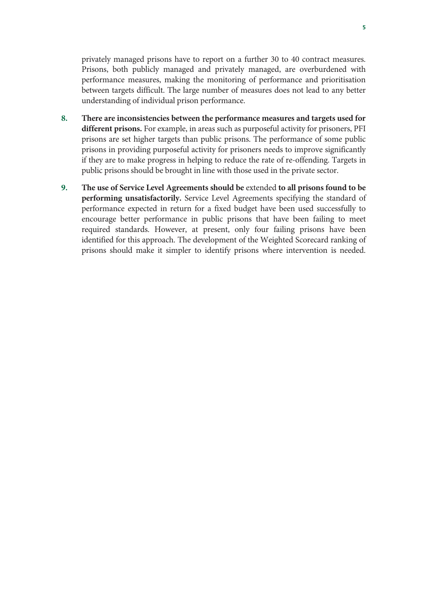privately managed prisons have to report on a further 30 to 40 contract measures. Prisons, both publicly managed and privately managed, are overburdened with performance measures, making the monitoring of performance and prioritisation between targets difficult. The large number of measures does not lead to any better understanding of individual prison performance.

- **8. There are inconsistencies between the performance measures and targets used for different prisons.** For example, in areas such as purposeful activity for prisoners, PFI prisons are set higher targets than public prisons. The performance of some public prisons in providing purposeful activity for prisoners needs to improve significantly if they are to make progress in helping to reduce the rate of re-offending. Targets in public prisons should be brought in line with those used in the private sector.
- **9. The use of Service Level Agreements should be** extended **to all prisons found to be performing unsatisfactorily.** Service Level Agreements specifying the standard of performance expected in return for a fixed budget have been used successfully to encourage better performance in public prisons that have been failing to meet required standards. However, at present, only four failing prisons have been identified for this approach. The development of the Weighted Scorecard ranking of prisons should make it simpler to identify prisons where intervention is needed.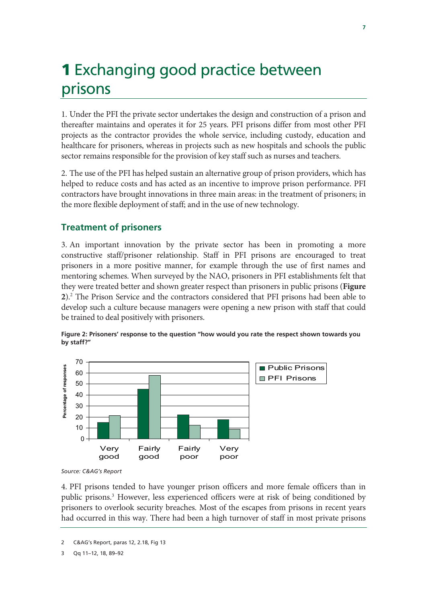# **1** Exchanging good practice between prisons

1. Under the PFI the private sector undertakes the design and construction of a prison and thereafter maintains and operates it for 25 years. PFI prisons differ from most other PFI projects as the contractor provides the whole service, including custody, education and healthcare for prisoners, whereas in projects such as new hospitals and schools the public sector remains responsible for the provision of key staff such as nurses and teachers.

2. The use of the PFI has helped sustain an alternative group of prison providers, which has helped to reduce costs and has acted as an incentive to improve prison performance. PFI contractors have brought innovations in three main areas: in the treatment of prisoners; in the more flexible deployment of staff; and in the use of new technology.

## **Treatment of prisoners**

3. An important innovation by the private sector has been in promoting a more constructive staff/prisoner relationship. Staff in PFI prisons are encouraged to treat prisoners in a more positive manner, for example through the use of first names and mentoring schemes. When surveyed by the NAO, prisoners in PFI establishments felt that they were treated better and shown greater respect than prisoners in public prisons (**Figure 2**).2 The Prison Service and the contractors considered that PFI prisons had been able to develop such a culture because managers were opening a new prison with staff that could be trained to deal positively with prisoners.



**Figure 2: Prisoners' response to the question "how would you rate the respect shown towards you by staff?"** 

4. PFI prisons tended to have younger prison officers and more female officers than in public prisons.3 However, less experienced officers were at risk of being conditioned by prisoners to overlook security breaches. Most of the escapes from prisons in recent years had occurred in this way. There had been a high turnover of staff in most private prisons

*Source: C&AG's Report* 

<sup>2</sup> C&AG's Report, paras 12, 2.18, Fig 13

<sup>3</sup> Qq 11–12, 18, 89–92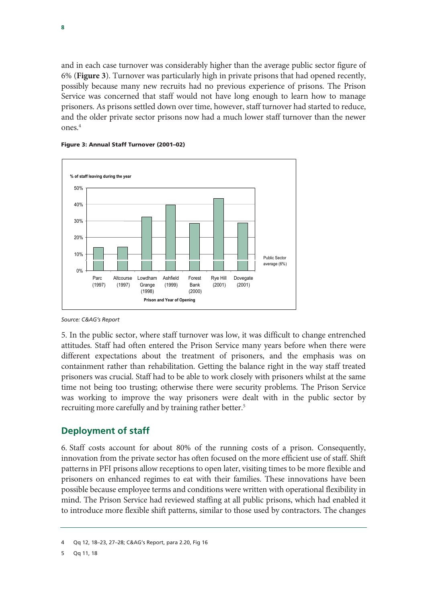and in each case turnover was considerably higher than the average public sector figure of 6% (**Figure 3**). Turnover was particularly high in private prisons that had opened recently, possibly because many new recruits had no previous experience of prisons. The Prison Service was concerned that staff would not have long enough to learn how to manage prisoners. As prisons settled down over time, however, staff turnover had started to reduce, and the older private sector prisons now had a much lower staff turnover than the newer ones.4





*Source: C&AG's Report*

5. In the public sector, where staff turnover was low, it was difficult to change entrenched attitudes. Staff had often entered the Prison Service many years before when there were different expectations about the treatment of prisoners, and the emphasis was on containment rather than rehabilitation. Getting the balance right in the way staff treated prisoners was crucial. Staff had to be able to work closely with prisoners whilst at the same time not being too trusting; otherwise there were security problems. The Prison Service was working to improve the way prisoners were dealt with in the public sector by recruiting more carefully and by training rather better.<sup>5</sup>

### **Deployment of staff**

6. Staff costs account for about 80% of the running costs of a prison. Consequently, innovation from the private sector has often focused on the more efficient use of staff. Shift patterns in PFI prisons allow receptions to open later, visiting times to be more flexible and prisoners on enhanced regimes to eat with their families. These innovations have been possible because employee terms and conditions were written with operational flexibility in mind. The Prison Service had reviewed staffing at all public prisons, which had enabled it to introduce more flexible shift patterns, similar to those used by contractors. The changes

<sup>4</sup> Qq 12, 18–23, 27–28; C&AG's Report, para 2.20, Fig 16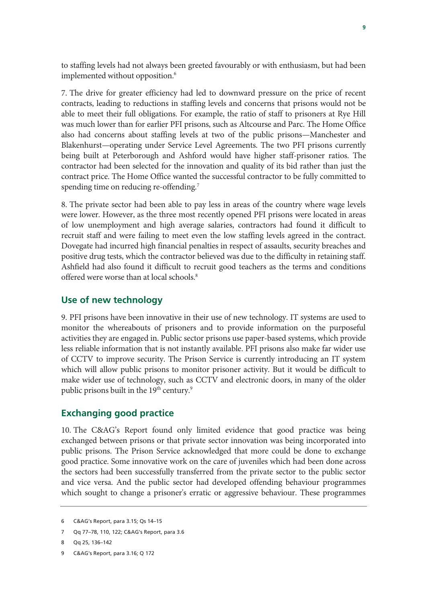to staffing levels had not always been greeted favourably or with enthusiasm, but had been implemented without opposition.<sup>6</sup>

7. The drive for greater efficiency had led to downward pressure on the price of recent contracts, leading to reductions in staffing levels and concerns that prisons would not be able to meet their full obligations. For example, the ratio of staff to prisoners at Rye Hill was much lower than for earlier PFI prisons, such as Altcourse and Parc. The Home Office also had concerns about staffing levels at two of the public prisons—Manchester and Blakenhurst—operating under Service Level Agreements. The two PFI prisons currently being built at Peterborough and Ashford would have higher staff-prisoner ratios. The contractor had been selected for the innovation and quality of its bid rather than just the contract price. The Home Office wanted the successful contractor to be fully committed to spending time on reducing re-offending.<sup>7</sup>

8. The private sector had been able to pay less in areas of the country where wage levels were lower. However, as the three most recently opened PFI prisons were located in areas of low unemployment and high average salaries, contractors had found it difficult to recruit staff and were failing to meet even the low staffing levels agreed in the contract. Dovegate had incurred high financial penalties in respect of assaults, security breaches and positive drug tests, which the contractor believed was due to the difficulty in retaining staff. Ashfield had also found it difficult to recruit good teachers as the terms and conditions offered were worse than at local schools.<sup>8</sup>

### **Use of new technology**

9. PFI prisons have been innovative in their use of new technology. IT systems are used to monitor the whereabouts of prisoners and to provide information on the purposeful activities they are engaged in. Public sector prisons use paper-based systems, which provide less reliable information that is not instantly available. PFI prisons also make far wider use of CCTV to improve security. The Prison Service is currently introducing an IT system which will allow public prisons to monitor prisoner activity. But it would be difficult to make wider use of technology, such as CCTV and electronic doors, in many of the older public prisons built in the  $19^{\text{th}}$  century. $^9$ 

### **Exchanging good practice**

10. The C&AG's Report found only limited evidence that good practice was being exchanged between prisons or that private sector innovation was being incorporated into public prisons. The Prison Service acknowledged that more could be done to exchange good practice. Some innovative work on the care of juveniles which had been done across the sectors had been successfully transferred from the private sector to the public sector and vice versa. And the public sector had developed offending behaviour programmes which sought to change a prisoner's erratic or aggressive behaviour. These programmes

<sup>6</sup> C&AG's Report, para 3.15; Qs 14–15

<sup>7</sup> Qq 77–78, 110, 122; C&AG's Report, para 3.6

<sup>8</sup> Qq 25, 136–142

<sup>9</sup> C&AG's Report, para 3.16; Q 172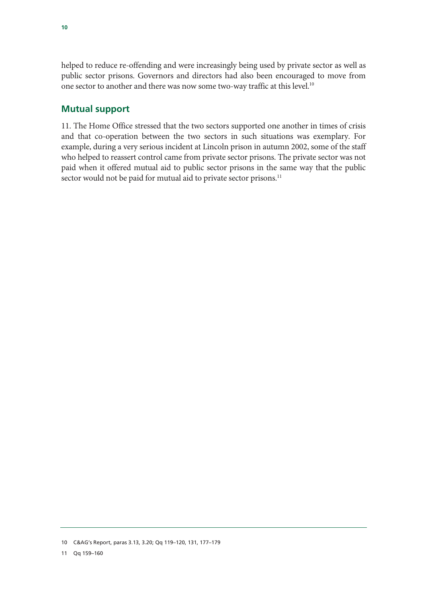helped to reduce re-offending and were increasingly being used by private sector as well as public sector prisons. Governors and directors had also been encouraged to move from one sector to another and there was now some two-way traffic at this level.<sup>10</sup>

### **Mutual support**

11. The Home Office stressed that the two sectors supported one another in times of crisis and that co-operation between the two sectors in such situations was exemplary. For example, during a very serious incident at Lincoln prison in autumn 2002, some of the staff who helped to reassert control came from private sector prisons. The private sector was not paid when it offered mutual aid to public sector prisons in the same way that the public sector would not be paid for mutual aid to private sector prisons.<sup>11</sup>

<sup>10</sup> C&AG's Report, paras 3.13, 3.20; Qq 119–120, 131, 177–179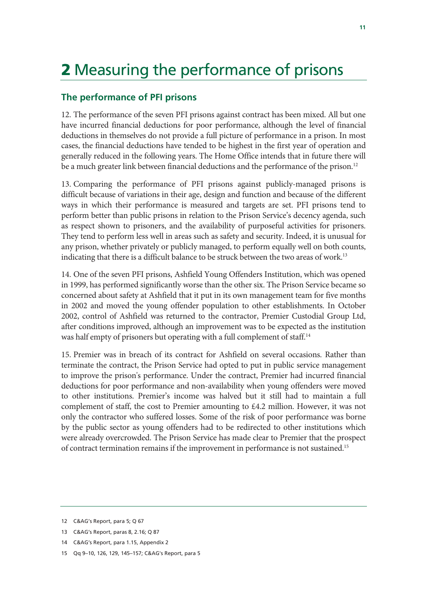# **2** Measuring the performance of prisons

### **The performance of PFI prisons**

12. The performance of the seven PFI prisons against contract has been mixed. All but one have incurred financial deductions for poor performance, although the level of financial deductions in themselves do not provide a full picture of performance in a prison. In most cases, the financial deductions have tended to be highest in the first year of operation and generally reduced in the following years. The Home Office intends that in future there will be a much greater link between financial deductions and the performance of the prison.<sup>12</sup>

13. Comparing the performance of PFI prisons against publicly-managed prisons is difficult because of variations in their age, design and function and because of the different ways in which their performance is measured and targets are set. PFI prisons tend to perform better than public prisons in relation to the Prison Service's decency agenda, such as respect shown to prisoners, and the availability of purposeful activities for prisoners. They tend to perform less well in areas such as safety and security. Indeed, it is unusual for any prison, whether privately or publicly managed, to perform equally well on both counts, indicating that there is a difficult balance to be struck between the two areas of work.<sup>13</sup>

14. One of the seven PFI prisons, Ashfield Young Offenders Institution, which was opened in 1999, has performed significantly worse than the other six. The Prison Service became so concerned about safety at Ashfield that it put in its own management team for five months in 2002 and moved the young offender population to other establishments. In October 2002, control of Ashfield was returned to the contractor, Premier Custodial Group Ltd, after conditions improved, although an improvement was to be expected as the institution was half empty of prisoners but operating with a full complement of staff.<sup>14</sup>

15. Premier was in breach of its contract for Ashfield on several occasions. Rather than terminate the contract, the Prison Service had opted to put in public service management to improve the prison's performance. Under the contract, Premier had incurred financial deductions for poor performance and non-availability when young offenders were moved to other institutions. Premier's income was halved but it still had to maintain a full complement of staff, the cost to Premier amounting to £4.2 million. However, it was not only the contractor who suffered losses. Some of the risk of poor performance was borne by the public sector as young offenders had to be redirected to other institutions which were already overcrowded. The Prison Service has made clear to Premier that the prospect of contract termination remains if the improvement in performance is not sustained.15

- 14 C&AG's Report, para 1.15, Appendix 2
- 15 Qq 9–10, 126, 129, 145–157; C&AG's Report, para 5

<sup>12</sup> C&AG's Report, para 5; Q 67

<sup>13</sup> C&AG's Report, paras 8, 2.16; Q 87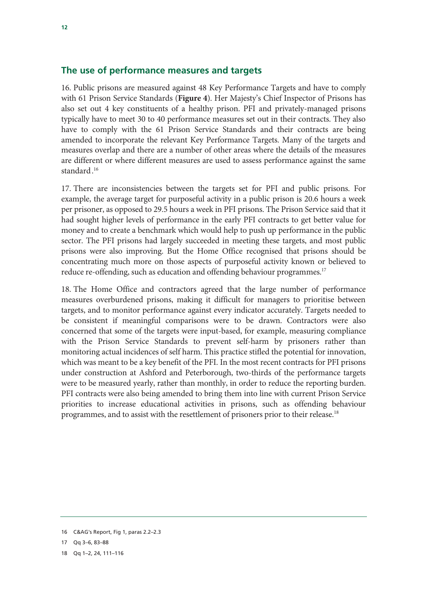### **The use of performance measures and targets**

16. Public prisons are measured against 48 Key Performance Targets and have to comply with 61 Prison Service Standards (**Figure 4**). Her Majesty's Chief Inspector of Prisons has also set out 4 key constituents of a healthy prison. PFI and privately-managed prisons typically have to meet 30 to 40 performance measures set out in their contracts. They also have to comply with the 61 Prison Service Standards and their contracts are being amended to incorporate the relevant Key Performance Targets. Many of the targets and measures overlap and there are a number of other areas where the details of the measures are different or where different measures are used to assess performance against the same standard. 16

17. There are inconsistencies between the targets set for PFI and public prisons. For example, the average target for purposeful activity in a public prison is 20.6 hours a week per prisoner, as opposed to 29.5 hours a week in PFI prisons. The Prison Service said that it had sought higher levels of performance in the early PFI contracts to get better value for money and to create a benchmark which would help to push up performance in the public sector. The PFI prisons had largely succeeded in meeting these targets, and most public prisons were also improving. But the Home Office recognised that prisons should be concentrating much more on those aspects of purposeful activity known or believed to reduce re-offending, such as education and offending behaviour programmes.<sup>17</sup>

18. The Home Office and contractors agreed that the large number of performance measures overburdened prisons, making it difficult for managers to prioritise between targets, and to monitor performance against every indicator accurately. Targets needed to be consistent if meaningful comparisons were to be drawn. Contractors were also concerned that some of the targets were input-based, for example, measuring compliance with the Prison Service Standards to prevent self-harm by prisoners rather than monitoring actual incidences of self harm. This practice stifled the potential for innovation, which was meant to be a key benefit of the PFI. In the most recent contracts for PFI prisons under construction at Ashford and Peterborough, two-thirds of the performance targets were to be measured yearly, rather than monthly, in order to reduce the reporting burden. PFI contracts were also being amended to bring them into line with current Prison Service priorities to increase educational activities in prisons, such as offending behaviour programmes, and to assist with the resettlement of prisoners prior to their release.<sup>18</sup>

<sup>16</sup> C&AG's Report, Fig 1, paras 2.2–2.3

<sup>17</sup> Qq 3–6, 83–88

<sup>18</sup> Qq 1–2, 24, 111–116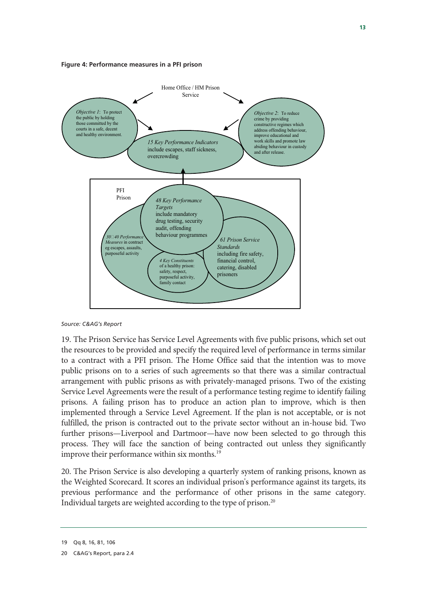



*Source: C&AG's Report* 

19. The Prison Service has Service Level Agreements with five public prisons, which set out the resources to be provided and specify the required level of performance in terms similar to a contract with a PFI prison. The Home Office said that the intention was to move public prisons on to a series of such agreements so that there was a similar contractual arrangement with public prisons as with privately-managed prisons. Two of the existing Service Level Agreements were the result of a performance testing regime to identify failing prisons. A failing prison has to produce an action plan to improve, which is then implemented through a Service Level Agreement. If the plan is not acceptable, or is not fulfilled, the prison is contracted out to the private sector without an in-house bid. Two further prisons—Liverpool and Dartmoor—have now been selected to go through this process. They will face the sanction of being contracted out unless they significantly improve their performance within six months.<sup>19</sup>

20. The Prison Service is also developing a quarterly system of ranking prisons, known as the Weighted Scorecard. It scores an individual prison's performance against its targets, its previous performance and the performance of other prisons in the same category. Individual targets are weighted according to the type of prison.20

<sup>19</sup> Qq 8, 16, 81, 106

<sup>20</sup> C&AG's Report, para 2.4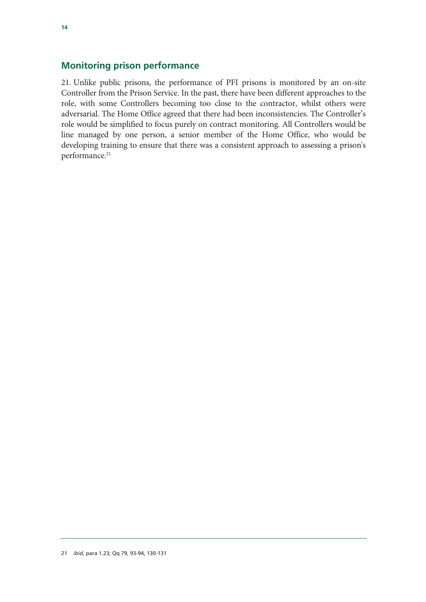## **Monitoring prison performance**

21. Unlike public prisons, the performance of PFI prisons is monitored by an on-site Controller from the Prison Service. In the past, there have been different approaches to the role, with some Controllers becoming too close to the contractor, whilst others were adversarial. The Home Office agreed that there had been inconsistencies. The Controller's role would be simplified to focus purely on contract monitoring. All Controllers would be line managed by one person, a senior member of the Home Office, who would be developing training to ensure that there was a consistent approach to assessing a prison's performance.<sup>21</sup>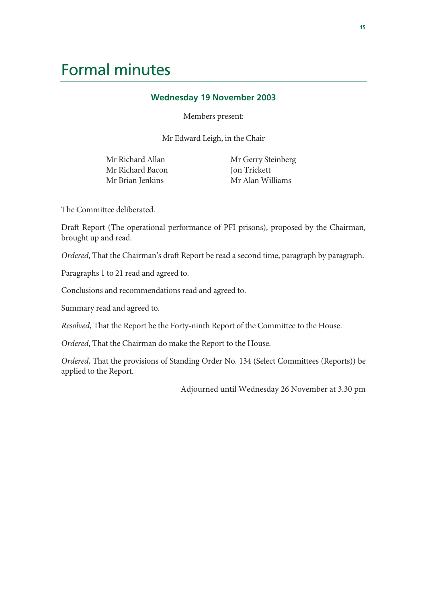## Formal minutes

### **Wednesday 19 November 2003**

Members present:

Mr Edward Leigh, in the Chair

Mr Richard Allan Mr Richard Bacon Mr Brian Jenkins

 Mr Gerry Steinberg Jon Trickett Mr Alan Williams

The Committee deliberated.

Draft Report (The operational performance of PFI prisons), proposed by the Chairman, brought up and read.

*Ordered*, That the Chairman's draft Report be read a second time, paragraph by paragraph.

Paragraphs 1 to 21 read and agreed to.

Conclusions and recommendations read and agreed to.

Summary read and agreed to.

*Resolved*, That the Report be the Forty-ninth Report of the Committee to the House.

*Ordered*, That the Chairman do make the Report to the House.

*Ordered*, That the provisions of Standing Order No. 134 (Select Committees (Reports)) be applied to the Report.

Adjourned until Wednesday 26 November at 3.30 pm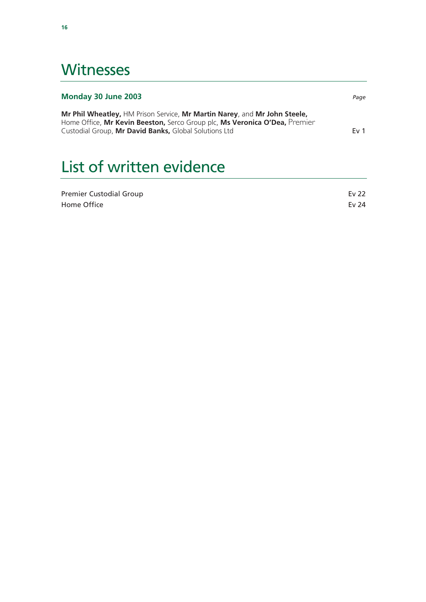## **Witnesses**

## **Monday 30 June 2003** *Page* **Mr Phil Wheatley,** HM Prison Service, **Mr Martin Narey**, and **Mr John Steele,**  Home Office, **Mr Kevin Beeston,** Serco Group plc, **Ms Veronica O'Dea, Premier**  PremierCustodial Group, **Mr David Banks,** Global Solutions Ltd **Ev 1**

# List of written evidence

| <b>Premier Custodial Group</b> | Ev 22 |
|--------------------------------|-------|
| Home Office                    | Ev 24 |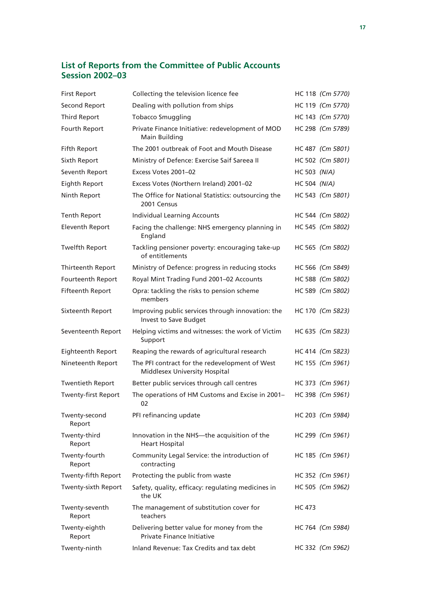### **List of Reports from the Committee of Public Accounts Session 2002–03**

| <b>First Report</b>        | Collecting the television licence fee                                                  |              | HC 118 (Cm 5770) |
|----------------------------|----------------------------------------------------------------------------------------|--------------|------------------|
| Second Report              | Dealing with pollution from ships                                                      |              | HC 119 (Cm 5770) |
| <b>Third Report</b>        | <b>Tobacco Smuggling</b>                                                               |              | HC 143 (Cm 5770) |
| Fourth Report              | Private Finance Initiative: redevelopment of MOD<br><b>Main Building</b>               |              | HC 298 (Cm 5789) |
| <b>Fifth Report</b>        | The 2001 outbreak of Foot and Mouth Disease                                            |              | HC 487 (Cm 5801) |
| Sixth Report               | Ministry of Defence: Exercise Saif Sareea II                                           |              | HC 502 (Cm 5801) |
| Seventh Report             | Excess Votes 2001-02                                                                   | HC 503 (N/A) |                  |
| Eighth Report              | Excess Votes (Northern Ireland) 2001-02                                                | HC 504 (N/A) |                  |
| Ninth Report               | The Office for National Statistics: outsourcing the<br>2001 Census                     |              | HC 543 (Cm 5801) |
| Tenth Report               | <b>Individual Learning Accounts</b>                                                    |              | HC 544 (Cm 5802) |
| <b>Eleventh Report</b>     | Facing the challenge: NHS emergency planning in<br>England                             |              | HC 545 (Cm 5802) |
| <b>Twelfth Report</b>      | Tackling pensioner poverty: encouraging take-up<br>of entitlements                     |              | HC 565 (Cm 5802) |
| Thirteenth Report          | Ministry of Defence: progress in reducing stocks                                       |              | HC 566 (Cm 5849) |
| Fourteenth Report          | Royal Mint Trading Fund 2001-02 Accounts                                               |              | HC 588 (Cm 5802) |
| <b>Fifteenth Report</b>    | Opra: tackling the risks to pension scheme<br>members                                  |              | HC 589 (Cm 5802) |
| Sixteenth Report           | Improving public services through innovation: the<br>Invest to Save Budget             |              | HC 170 (Cm 5823) |
| Seventeenth Report         | Helping victims and witnesses: the work of Victim<br>Support                           |              | HC 635 (Cm 5823) |
| Eighteenth Report          | Reaping the rewards of agricultural research                                           |              | HC 414 (Cm 5823) |
| Nineteenth Report          | The PFI contract for the redevelopment of West<br><b>Middlesex University Hospital</b> |              | HC 155 (Cm 5961) |
| <b>Twentieth Report</b>    | Better public services through call centres                                            |              | HC 373 (Cm 5961) |
| <b>Twenty-first Report</b> | The operations of HM Customs and Excise in 2001-<br>02                                 |              | HC 398 (Cm 5961) |
| Twenty-second<br>Report    | PFI refinancing update                                                                 |              | HC 203 (Cm 5984) |
| Twenty-third<br>Report     | Innovation in the NHS-the acquisition of the<br><b>Heart Hospital</b>                  |              | HC 299 (Cm 5961) |
| Twenty-fourth<br>Report    | Community Legal Service: the introduction of<br>contracting                            |              | HC 185 (Cm 5961) |
| Twenty-fifth Report        | Protecting the public from waste                                                       |              | HC 352 (Cm 5961) |
| Twenty-sixth Report        | Safety, quality, efficacy: regulating medicines in<br>the UK                           |              | HC 505 (Cm 5962) |
| Twenty-seventh<br>Report   | The management of substitution cover for<br>teachers                                   | HC 473       |                  |
| Twenty-eighth<br>Report    | Delivering better value for money from the<br><b>Private Finance Initiative</b>        |              | HC 764 (Cm 5984) |
| Twenty-ninth               | Inland Revenue: Tax Credits and tax debt                                               |              | HC 332 (Cm 5962) |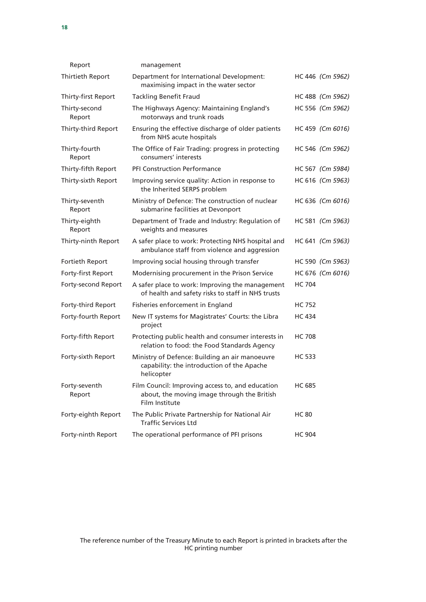| Report                   | management                                                                                                        |               |                  |
|--------------------------|-------------------------------------------------------------------------------------------------------------------|---------------|------------------|
| Thirtieth Report         | Department for International Development:<br>maximising impact in the water sector                                |               | HC 446 (Cm 5962) |
| Thirty-first Report      | <b>Tackling Benefit Fraud</b>                                                                                     |               | HC 488 (Cm 5962) |
| Thirty-second<br>Report  | The Highways Agency: Maintaining England's<br>motorways and trunk roads                                           |               | HC 556 (Cm 5962) |
| Thirty-third Report      | Ensuring the effective discharge of older patients<br>from NHS acute hospitals                                    |               | HC 459 (Cm 6016) |
| Thirty-fourth<br>Report  | The Office of Fair Trading: progress in protecting<br>consumers' interests                                        |               | HC 546 (Cm 5962) |
| Thirty-fifth Report      | <b>PFI Construction Performance</b>                                                                               |               | HC 567 (Cm 5984) |
| Thirty-sixth Report      | Improving service quality: Action in response to<br>the Inherited SERPS problem                                   |               | HC 616 (Cm 5963) |
| Thirty-seventh<br>Report | Ministry of Defence: The construction of nuclear<br>submarine facilities at Devonport                             |               | HC 636 (Cm 6016) |
| Thirty-eighth<br>Report  | Department of Trade and Industry: Regulation of<br>weights and measures                                           |               | HC 581 (Cm 5963) |
| Thirty-ninth Report      | A safer place to work: Protecting NHS hospital and<br>ambulance staff from violence and aggression                |               | HC 641 (Cm 5963) |
| Fortieth Report          | Improving social housing through transfer                                                                         |               | HC 590 (Cm 5963) |
| Forty-first Report       | Modernising procurement in the Prison Service                                                                     |               | HC 676 (Cm 6016) |
| Forty-second Report      | A safer place to work: Improving the management<br>of health and safety risks to staff in NHS trusts              | <b>HC 704</b> |                  |
| Forty-third Report       | Fisheries enforcement in England                                                                                  | HC 752        |                  |
| Forty-fourth Report      | New IT systems for Magistrates' Courts: the Libra<br>project                                                      | <b>HC 434</b> |                  |
| Forty-fifth Report       | Protecting public health and consumer interests in<br>relation to food: the Food Standards Agency                 | <b>HC 708</b> |                  |
| Forty-sixth Report       | Ministry of Defence: Building an air manoeuvre<br>capability: the introduction of the Apache<br>helicopter        | HC 533        |                  |
| Forty-seventh<br>Report  | Film Council: Improving access to, and education<br>about, the moving image through the British<br>Film Institute | <b>HC 685</b> |                  |
| Forty-eighth Report      | The Public Private Partnership for National Air<br><b>Traffic Services Ltd</b>                                    | <b>HC 80</b>  |                  |
| Forty-ninth Report       | The operational performance of PFI prisons                                                                        | <b>HC 904</b> |                  |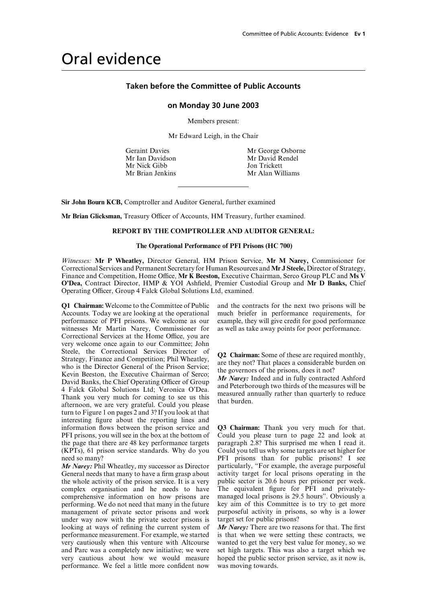## Oral evidence

### **Taken before the Committee of Public Accounts**

### **on Monday 30 June 2003**

Members present:

Mr Edward Leigh, in the Chair

Mr Nick Gibb Jon Trickett

Geraint Davies Mr George Osborne Mr Ian Davidson Mr David Rendel Mr Brian Jenkins Mr Alan Williams

**Sir John Bourn KCB,** Comptroller and Auditor General, further examined

**Mr Brian Glicksman, Treasury Officer of Accounts, HM Treasury, further examined.** 

### **REPORT BY THE COMPTROLLER AND AUDITOR GENERAL:**

### **The Operational Performance of PFI Prisons (HC 700)**

*Witnesses:* **Mr P Wheatley,** Director General, HM Prison Service, **Mr M Narey,** Commissioner for Correctional Services and Permanent Secretary for Human Resources and **Mr J Steele,** Director of Strategy, Finance and Competition, Home Office, Mr K Beeston, Executive Chairman, Serco Group PLC and Ms V **O'Dea,** Contract Director, HMP & YOI Ashfield, Premier Custodial Group and **Mr D Banks,** Chief Operating Officer, Group 4 Falck Global Solutions Ltd, examined.

**Q1 Chairman:** Welcome to the Committee of Public and the contracts for the next two prisons will be Accounts. Today we are looking at the operational much briefer in performance requirements, for performance of PFI prisons. We welcome as our example, they will give credit for good performance witnesses Mr Martin Narey, Commissioner for as well as take away points for poor performance. Correctional Services at the Home Office, you are very welcome once again to our Committee; John<br>Steele, the Correctional Services Director of Steele, the Correctional Services Director of<br>Strategy, Finance and Competition; Phil Wheatley,<br>who is the Director General of the Prison Service;<br>Kevin Beeston, the Executive Chairman of Serco;<br>David Banks, the Chief Oper turn to Figure 1 on pages 2 and 3? If you look at that interesting figure about the reporting lines and PFI prisons, you will see in the box at the bottom of the page that there are 48 key performance targets paragraph 2.8? This surprised me when I read it. (KPTs), 61 prison service standards. Why do you Could you tell us why some targets are set higher for

General needs that many to have a firm grasp about activity target for local prisons operating in the the whole activity of the prison service. It is a very public sector is 20.6 hours per prisoner per week. the whole activity of the prison service. It is a very complex organisation and he needs to have The equivalent figure for PFI and privately-<br>comprehensive information on how prisons are managed local prisons is 29.5 hours". Obviously a comprehensive information on how prisons are managed local prisons is 29.5 hours". Obviously a performing. We do not need that many in the future key aim of this Committee is to try to get more performing. We do not need that many in the future key aim of this Committee is to try to get more management of private sector prisons and work purposeful activity in prisons, so why is a lower management of private sector prisons and work purposeful activity in prison under way now with the private sector prisons is target set for public prisons? under way now with the private sector prisons is looking at ways of refining the current system of *Mr Narey:* There are two reasons for that. The first performance measurement. For example, we started is that when we were setting these contracts, we performance measurement. For example, we started very cautiously when this venture with Altcourse and Parc was a completely new initiative; we were very cautious about how we would measure hoped the public sector prison service, as it now is, performance. We feel a little more confident now was moving towards.

**Q3 Chairman:** Thank you very much for that.<br>Could you please turn to page 22 and look at need so many? PFI prisons than for public prisons? I see *Mr Narey:* Phil Wheatley, my successor as Director particularly, "For example, the average purposeful General needs that many to have a firm grasp about activity target for local prisons operating in the

wanted to get the very best value for money, so we set high targets. This was also a target which we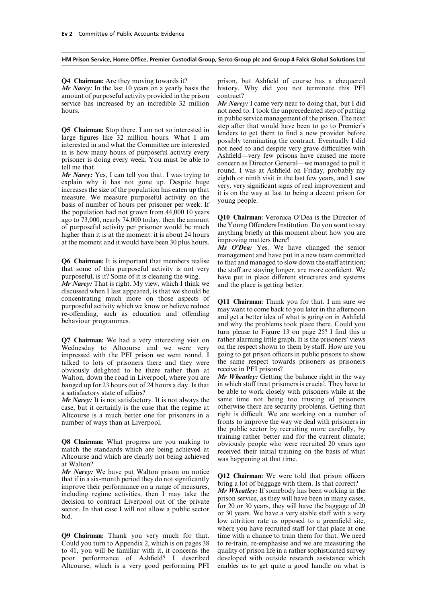amount of purposeful activity provided in the prison contract? service has increased by an incredible 32 million *Mr Narey:* I came very near to doing that, but I did

the population had not grown from 44,000 10 years<br>ago to 73,000, nearly 74,000 today, then the amount<br>of purposeful activity per prisoner would be much<br>higher than it is at the moment: it is about 24 hours<br>at the moment a

*Mr Narey:* That is right. My view, which I think we and the place is getting better. discussed when I last appeared, is that we should be

**Q7 Chairman:** We had a very interesting visit on rather alarming little graph. It is the prisoners' views Wednesday to Altcourse and we were very on the respect shown to them by staff. How are you Wednesday to Altcourse and we were very on the respect shown to them by staff. How are you impressed with the PFI prison we went round. I going to get prison officers in public prisons to show impressed with the PFI prison we went round. I going to get prison officers in public prisons to show talked to lots of prisoners there and they were the same respect towards prisoners as prisoners talked to lots of prisoners there and they were the same respect towere obviously delighted to be there rather than at receive in PFI prisons? obviously delighted to be there rather than at receive in PFI prisons?<br>Walton, down the road in Liverpool, where you are Mr Wheatley: Getting the balance right in the way Walton, down the road in Liverpool, where you are banged up for 23 hours out of 24 hours a day. Is that in which staff treat prisoners is crucial. They have to

*Mr Narey:* It is not satisfactory. It is not always the same time not being too trusting of prisoners case, but it certainly is the case that the regime at otherwise there are security problems. Getting that case, but it certainly is the case that the regime at Altcourse is a much better one for prisoners in a right is difficult. We are working on a number of number of ways than at Liverpool. fronts to improve the way we deal with prisoners in

**Q8 Chairman:** What progress are you making to<br>match the standards which are being achieved at<br>Altcourse and which are clearly not being achieved their initial training on the basis of what<br>at Walton?

*Mr Narey:* We have put Walton prison on notice<br>that if in a six-month period they do not significantly<br>improve their performance on a range of measures,<br>including regime activities, then I may take the<br>decision to cont

**Q9 Chairman:** Thank you very much for that. time with a chance to train them for that. We need Could you turn to Appendix 2, which is on pages 38 to re-train, re-emphasise and we are measuring the to 41, you will be familiar with it, it concerns the quality of prison life in a rather sophisticated survey poor performance of Ashfield? I described developed with outside research assistance which Altcourse, which is a very good performing PFI enables us to get quite a good handle on what is

**Q4 Chairman:** Are they moving towards it? prison, but Ashfield of course has a chequered **Mr Narey**: In the last 10 years on a yearly basis the history. Why did you not terminate this PFI history. Why did you not terminate this PFI

hours. not need to. I took the unprecedented step of putting in public service management of the prison. The next **Q5 Chairman:** Stop there. I am not so interested in the step after that would have been to go to Premier's<br>large figures like 32 million hours. What I am<br>interested in and what the Committee are interested<br>in is how many

management and have put in a new team committed **Q6 Chairman:** It is important that members realise to that and managed to slow down the staff attrition; that some of this purposeful activity is not very the staff are staying longer, are more confident. We purposeful, is it? Some of it is cleaning the wing. have put in place different structures and systems have put in place different structures and systems

concentrating much more on those aspects of **Q11 Chairman:** Thank you for that. I am sure we purposeful activity which we know or believe reduce may want to come back to you later in the afternoon re-offending, such as edu turn please to Figure 13 on page 25? I find this a rather alarming little graph. It is the prisoners' views

a satisfactory state of affairs? be able to work closely with prisoners while at the **Mr Narey:** It is not satisfactory. It is not always the same time not being too trusting of prisoners the public sector by recruiting more carefully, by

low attrition rate as opposed to a greenfield site, where you have recruited staff for that place at one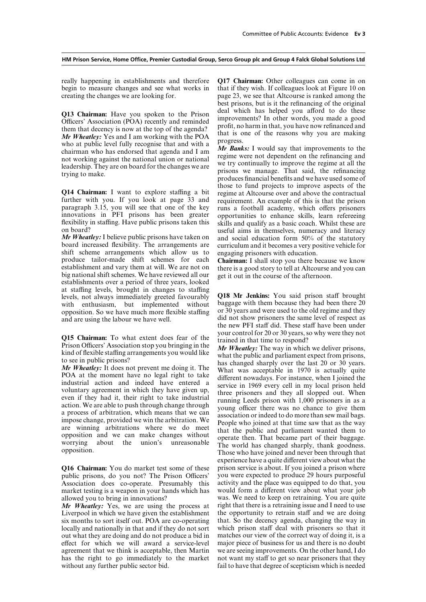begin to measure changes and see what works in creating the changes we are looking for. page 23, we see that Altcourse is ranked among the

**Example 10** Mr Wheatley: Yes and I am working with the POA that is one of the reasons why you are making<br>who at public level fully recognise that and with a<br>chairman who has endorsed that agenda and I am<br>not working again

**Q14 Chairman:** I want to explore staffing a bit regime at Altcourse over and above the contractual further with you. If you look at page 33 and requirement. An example of this is that the prison paragraph 3.15, you will see that one of the key<br>innovations in PFI prisons has been greater opportunities to enhance skills, learn refereeing flexibility in staffing. Have public prisons taken this on board?

*Mr Wheatley:* I believe public prisons have taken on and social education form 50% of the statutory board increased flexibility. The arrangements are curriculum and it becomes a very positive vehicle for shift scheme arrangements which allow us to produce tailor-made shift schemes for each produce tailor-made shift schemes for each **Chairman:** I shall stop you there because we know establishment and vary them at will. We are not on there is a good story to tell at Altcourse and you can big national shift sch at staffing levels, brought in changes to staffing<br>levels, not always immediately greeted favourably **Q18 Mr Jenkins:** You said prison staff brought<br>with enthusiasm but implemented without baggage with them because they ha with enthusiasm, but implemented without baggage with them because they had been there 20<br>opposition So we have much more flexible staffing or 30 years and were used to the old regime and they opposition. So we have much more flexible staffing and are using the labour we have well.

Association does co-operate. Presumably this activity and the place was equipped to do that, you market testing is a weapon in your hands which has would form a different view about what your job

*Mr Wheatley:* Yes, we are using the process at Liverpool in which we have given the establishment the opportunity to retrain staff and we are doing six months to sort itself out. POA are co-operating that. So the decency agenda, changing the way in six months to sort itself out. POA are co-operating locally and nationally in that and if they do not sort which prison staff deal with prisoners so that it out what they are doing and do not produce a bid in matches our view of the correct way of doing it, is a out what they are doing and do not produce a bid in effect for which we will award a service-level major piece of business for us and there is no doubt agreement that we think is acceptable, then Martin we are seeing improvements. On the other hand, I do agreement that we think is acceptable, then Martin we are seeing improvements. On the other hand, I do has the right to go immediately to the market not want my staff to get so near prisoners that they has the right to go immediately to the market without any further public sector bid. **Fail to have that degree of scepticism which is needed** 

really happening in establishments and therefore **Q17 Chairman:** Other colleagues can come in on begin to measure changes and see what works in that if they wish. If colleagues look at Figure 10 on best prisons, but is it the refinancing of the original **Q13 Chairman:** Have you spoken to the Prison deal which has helped you afford to do these officers' Association (POA) recently and reminded improvements? In other words, you made a good them that decency is now at the top

those to fund projects to improve aspects of the requirement. An example of this is that the prison opportunities to enhance skills, learn refereeing skills and qualify as a basic coach. Whilst these are on board?<br> *Mr Wheatley:* I believe public prisons have taken on and social education form 50% of the statutory curriculum and it becomes a very positive vehicle for engaging prisoners with education.

did not show prisoners the same level of respect as the new PFI staff did. These staff have been under<br>your control for 20 or 30 years, so why were they not

**Q15 Chairman:** To what extent does fear of the your control for 20 or 30 years, so why were they not<br>Prison Officers' Association stop you bringing in the *Yar Wheatley*: The way in which we deliver prisons,<br>kind of flex Those who have joined and never been through that experience have a quite different view about what the **Q16 Chairman:** You do market test some of these prison service is about. If you joined a prison where public prisons, do you not? The Prison Officers' you were expected to produce 29 hours purposeful you were expected to produce 29 hours purposeful allowed you to bring in innovations?<br> **Allowed you to bring in innovations** was. We need to keep on retraining. You are quite<br> **Allowed Wheatley:** Yes, we are using the process at right that there is a retraining issue and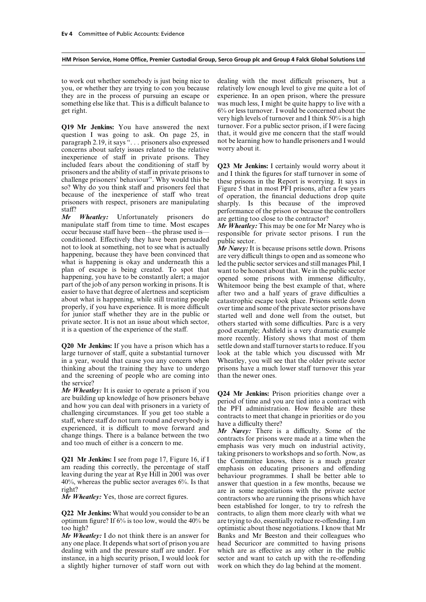to work out whether somebody is just being nice to dealing with the most difficult prisoners, but a you, or whether they are trying to con you because relatively low enough level to give me quite a lot of they are in the process of pursuing an escape or experience. In an open prison, where the pressure something else like that. This is a difficult balance to was much less, I might be quite happy to live with a get right. 6% or less turnover. I would be concerned about the

question I was going to ask. On page 25, in that, it would give me concern that the staff would<br>paragraph 2.19, it says ", , , prisoners also expressed not be learning how to handle prisoners and I would paragraph 2.19, it says " $\ldots$  prisoners also expressed not be learning concerns about safety issues related to the relative worry about it. concerns about safety issues related to the relative inexperience of staff in private prisons. They included fears about the conditioning of staff by **Q23 Mr Jenkins:** I certainly would worry about it prisoners and the ability of staff in private prisons to and I think the figures for staff turnover in some of challenge so? Why do you think staff and prisoners feel that<br>because of the inexperience of staff who treat<br>prisoners with respect, prisoners are manipulating<br>sharply. Is this because of the improved<br>staff?

Staff?<br> **Mr** Wheatley: Unfortunately prisoners do<br>
performance of the prison or because the controllers<br>
manipulate staff from time to time. Most escapes<br>
occur because staff have been—the phrase used is—<br>
conditioned. Eff

**Q20 Mr Jenkins:** If you have a prison which has a large turnover of staff, quite a substantial turnover look at the table which you discussed with Mr in a year, would that cause you any concern when Wheatley, you will see that the older private sector thinking about the training they have to undergo prisons have a much lower staff turnover this year and the screening of people who are coming into than the newer ones. the service?

*Mr Wheatley:* It is easier to operate a prison if you<br>are building up knowledge of how prisoners behave<br>and how you can deal with prisoners in a variety of<br>challenging circumstances. If you get too stable a<br>staff, wher

any one place. It depends what sort of prison you are head Securicor are committed to having prisons dealing with and the pressure staff are under. For which are as effective as any other in the public instance, in a high security prison, I would look for sector and want to catch up with the re-offending instance, in a high security prison, I would look for a slightly higher turnover of staff worn out with work on which they do lag behind at the moment.

very high levels of turnover and I think 50% is a high **Q19 Mr Jenkins:** You have answered the next turnover. For a public sector prison, if I were facing question I was going to ask. On page 25, in that, it would give me concern that the staff would

about what is happening, while still treating people<br>properly, if you have experience. It is more difficult<br>for junior staff whether they are in the public or<br>private sector prisons have<br>private sector. It is not an issue more recently. History shows that most of them<br>settle down and staff turnover starts to reduce. If you

**Q21 Mr Jenkins:** I see from page 17, Figure 16, if I<br>am reading this correctly, the percentage of staff<br>leaving during the year at Rye Hill in 2001 was over<br>do the durating prisoners and offending<br>leaving during the year been established for longer, to try to refresh the **Q22 Mr Jenkins:** What would you consider to be an contracts, to align them more clearly with what we optimum figure? If  $6\%$  is too low, would the 40% be are trying to do, essentially reduce re-offending. I am too high? optimistic about those negotiations. I know that Mr *Mr Wheatley:* I do not think there is an answer for Banks and Mr Beeston and their colleagues who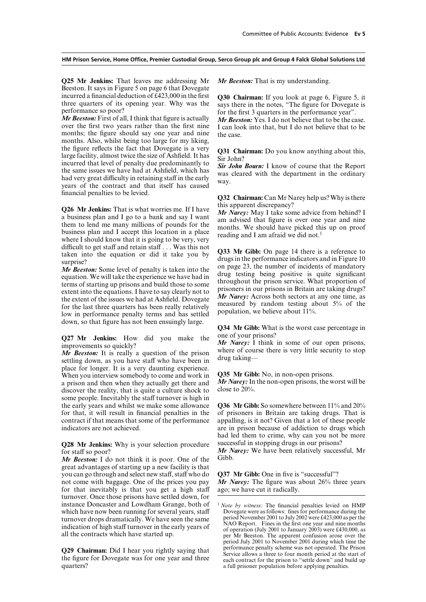**Q25 Mr Jenkins:** That leaves me addressing Mr *Mr Beeston:* That is my understanding. Beeston. It says in Figure 5 on page 6 that Dovegate

over the first two years rather than the first nine I can look into that, but I do not believe that to be months; the figure should say one year and nine the case. months. Also, whilst being too large for my liking, the figure reflects the fact that Dovegate is a very<br>large facility, almost twice the size of Ashfield. It has<br>incurred that level of penalty due predominantly to<br>the same issues we have had at Ashfield, which has<br>had very financial penalties to be levied. **Q32 Chairman:** Can Mr Narey help us? Why is there

**Q26 Mr Jenkins:** That is what worries me. If I have this apparent discrepancy?<br>
a business plan and I go to a bank and say I want<br>
them to lend me many millions of pounds for the business plan and I accept this location where I should know that it is going to be very, very difficult to get staff and retain staff... Was this not<br>taken into the equation or did it take you by drugs in the performance indicators and in Figure 10<br>surprise?<br>Mr. Pearton Some layel of penalty is taken into the on p

*Mr Beston:* Some level of penalty is taken into the compage 23, the number of incidents of mandatory equation. We will take the experience we have had in terms of starting up prisons and build those to some extent into

**Q27 Mr Jenkins:** How did you make the one of your prisons?<br> *Mr Narey:* I think in some of our open prisons, *Mr Ractory:* I think in some of our open prisons, *Mr Ractory*: I think in some of course there is very littl

*Mr Beeston:* It is really a question of the prison where of course there is  $\frac{d}{dx}$  is really a strong have been in drug takingsettling down, as you have staff who have been in place for longer. It is a very daunting experience. When you interview somebody to come and work in **Q35 Mr Gibb:** No, in non-open prisons.<br>a prison and then when they actually get there and *Mr Narey*: In the non-open prisons, the worst will be a prison and then when they actually get there and *Mr Narey:* In discover the reality, that is quite a culture shock to close to 20%. discover the reality, that is quite a culture shock to some people. Inevitably the staff turnover is high in the early years and whilst we make some allowance **Q36 Mr Gibb:** So somewhere between 11% and 20% for that, it will result in financial penalties in the of prisoners in Britain are taking drugs. That is contract if that means that some of the performance appalling, is it not? Given that a lot of these people indicators are not achieved. **are in prison because of addiction to drugs which** are in prison because of addiction to drugs which

**Q28 Mr Jenkins:** Why is your selection procedure successful in stopping drugs in our prisons?<br>for staff so poor?<br>*Mr Narey:* We have been relatively success

*Mr Beeston:* I do not think it is poor. One of the great advantages of starting up a new facility is that you can go through and select new staff, staff who do  $Q37$  Mr Gibb: One in five is "successful"? not come with baggage. One of the prices you pay Mr Narey: The figure was about 26% the for that inevitably is that you get a high staff turnover. Once those prisons have settled down, for instance Doncaster and Lowdham Grange, both of which have now been running for several years, staff Dovegate were as follows: fines for performance during the<br>turnover drops dramatically We have seen the same period November 2001 to July 2002 were £423,000 as per the

incurred a financial deduction of £423,000 in the first<br>three quarters of its opening year. Why was the<br>performance so poor?<br>Mr Beeston: First of all, I think that figure is actually<br>over the first 3 quarters in the perfo

down, so that figure has not been ensuingly large. **Q34 Mr Gibb:** What is the worst case percentage in

had led them to crime, why can you not be more *Mr Narey:* We have been relatively successful, Mr Gibb.

 $\overline{Mr}$  *Narey:* The figure was about 26% three years ago: we have cut it radically.

<sup>&</sup>lt;sup>1</sup> *Note by witness:* The financial penalties levied on HMP Dovegate were as follows: fines for performance during the turnover drops dramatically. We have seen the same<br>indication of high staff turnover in the early years of<br>all the contracts which have started up.<br>all the contracts which have started up.<br>the spectrum of hegeometry of ope period July 2001 to November 2001 during which time the **Q29 Chairman:** Did I hear you rightly saying that<br>the figure for Dovegate was for one year and three<br>quarters?<br>a full prisoner population before applying penalties. a full prisoner population before applying penalties.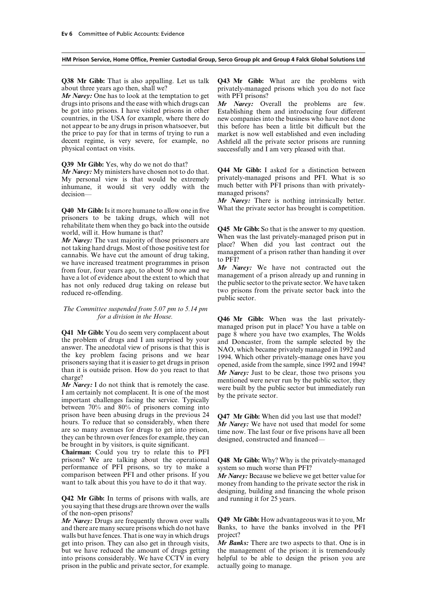*Mr Narey:* One has to look at the temptation to get with PFI prisons? drugs into prisons and the ease with which drugs can *Mr Narey:* Overall the problems are few. be got into prisons. I have visited prisons in other Establishing them and introducing four different countries, in the USA for example, where there do new companies into the business who have not done not appear to be any drugs in prison whatsoever, but this before has been a little bit difficult but the the price to pay for that in terms of trying to run a market is now well established and even including the price to pay for that in terms of trying to run a market is now well established and even including decent regime, is very severe, for example, no Ashfield all the private sector prisons are running decent regime, is very severe, for example, no<br>hashfield all the private sector prisons are running<br>physical contact on visits.<br>Successfully and I am very pleased with that.

**Q39 Mr Gibb:** Yes, why do we not do that?

My personal view is that would be extremely privately-managed prisons and PFI. What is so inhumane, it would sit very oddly with the much better with PFI prisons than with privatelyinhumane, it would sit very oddly with the decision— managed prisons?

prisoners to be taking drugs, which will not

rehabilitate them when they go back into the outside<br>world, will it. How humane is that?<br>Mr Narey: The vast majority of those prisoners are<br>not taking hard drugs. Most of those positive test for<br>cannabis. We have cut the

## *The Committee suspended from 5.07 pm to 5.14 pm*

between 70% and 80% of prisoners coming into prison have been abusing drugs in the previous 24 **Q47 Mr Gibb:** When did you last use that model?<br>hours. To reduce that so considerably, when there *Mr Narey:* We have not used that model for some are so many avenues for are so many avenues for drugs to get into prison, time now. The last four or five prisons have all been<br>they can be thrown over fences for example, they can<br>be brought in by visitors, is quite significant.

**Chairman:** Could you try to relate this to PFI prisons? We are talking about the operational performance of PFI prisons, so try to make a comparison between PFI and other prisons. If you comparison between PFI and other prisons. If you *Mr Narey:* Because we believe we get better value for want to talk about this you have to do it that way. money from handing to the private sector the risk in

**Q42 Mr Gibb:** In terms of prisons with walls, are and running it for 25 years. you saying that these drugs are thrown over the walls of the non-open prisons?

and there are many secure prisons which do not have Banks, walls but have fences. That is one way in which drugs project? walls but have fences. That is one way in which drugs project?<br>get into prison. They can also get in through visits, Mr Banks: There are two aspects to that. One is in get into prison. They can also get in through visits, but we have reduced the amount of drugs getting the management of the prison: it is tremendously into prisons considerably. We have CCTV in every helpful to be able to design the prison you are into prisons considerably. We have CCTV in every prison in the public and private sector, for example. actually going to manage.

**Q38 Mr Gibb:** That is also appalling. Let us talk **Q43 Mr Gibb:** What are the problems with about three years ago then, shall we? privately-managed prisons which you do not face

> new companies into the business who have not done successfully and I am very pleased with that.

*Mr Narey:* My ministers have chosen not to do that. **Q44 Mr Gibb:** I asked for a distinction between My personal view is that would be extremely privately-managed prisons and PFI. What is so

*Mr Narey:* There is nothing intrinsically better. **Q40 Mr Gibb:** Is it more humane to allow one in five What the private sector has brought is competition.

the public sector to the private sector. We have taken has not only reduced drug taking on release but the public sector to the private sector. We have taken two prisons from the private sector back into the public sector.

*formal**for a division in the House of Arr Gibb:* **When was the last privately-Q41 Mr Gibb:** You do seem very complacent about managed prison put in place? You have a table on the problem of drugs and I am surprised by your and Doncaster, from the sample selected by the answer. The anecdotal view o

**Q48 Mr Gibb:** Why? Why is the privately-managed system so much worse than PFI?

designing, building and financing the whole prison

*Mr Narey:* Drugs are frequently thrown over walls **Q49 Mr Gibb:** How advantageous was it to you, Mr and there are many secure prisons which do not have Banks, to have the banks involved in the PFI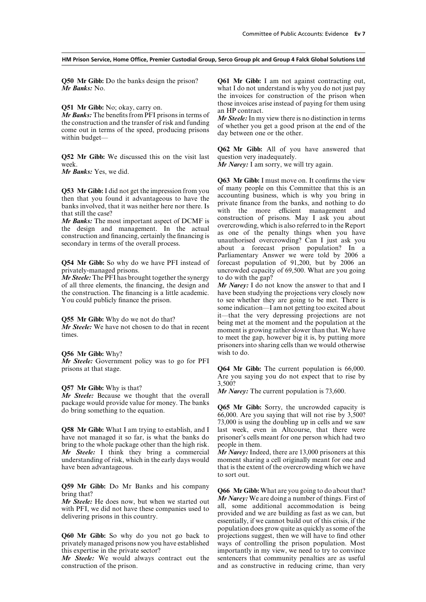**Q51 Mr Gibb:** No; okay, carry on.<br> **C51 Mr Gibb:** No; okay, carry on.<br> **C51 Mr Gibb:** No; okay, carry on.<br> **C51 Mr Gibb:** No; okay, carry on.<br> **C51 Mr Gibb:** No; okay, carry on.<br>  $M \cdot$  Steele: In my view there is no dist

**Q52 Mr Gibb:** We discussed this on the visit last question very inadequately. week. *Mr Narey:* I am sorry, we will try again.

*Mr Banks:* Yes, we did.

**Q54 Mr Gibb:** So why do we have PFI instead of

*Mr Steele:* The PFI has brought together the synergy of all three elements, the financing, the design and the construction. The financing is a little academic. You could publicly finance the prison.

### **Q56 Mr Gibb:** Why? wish to do.

*Mr Steele:* Government policy was to go for PFI

package would provide value for money. The banks **Q65 Mr Gibb:** Sorry, the uncrowded capacity is do bring something to the equation. 66,000. Are you saying that will not rise by 3,500?

have not managed it so far, is what the banks do prisoner's cells meant for one person which had two bring to the whole package other than the high risk. people in them. *Mr Steele:* I think they bring a commercial *Mr Narey:* Indeed, there are 13,000 prisoners at this understanding of risk, which in the early days would moment sharing a cell originally meant for one and have been advantageous. that is the extent of the overcrowding which we have

privately managed prisons now you have established ways of controlling the prison population. Most this expertise in the private sector? importantly in my view, we need to try to convince

**Q50 Mr Gibb:** Do the banks design the prison? **Q61 Mr Gibb:** I am not against contracting out, what I do not understand is why you do not just pay what I do not understand is why you do not just pay the invoices for construction of the prison when

**Q62 Mr Gibb:** All of you have answered that

**Q63 Mr Gibb:** I must move on. It confirms the view **Q53 Mr Gibb:** I did not get the impression from you of many people on this Committee that this is an then that you found it advantageous to have the banks involved, that it was neither here nor there. Is with the more eff overcrowding, which is also referred to in the Report<br>the design and management. In the actual<br>construction and financing, certainly the financing is<br>secondary in terms of the overall process.<br>about a forecast prison popul Parliamentary Answer we were told by 2006 a forecast population of 91,200, but by 2006 an privately-managed prisons. uncrowded capacity of 69,500. What are you going *Mr Steele:* The PFI has brought together the synergy to do with the gap?

*Mr Narey:* I do not know the answer to that and I have been studying the projections very closely now to see whether they are going to be met. There is some indication—I am not getting too excited about **Q55 Mr Gibb:** Why do we not do that?<br> **II** it—that the very depressing projections are not<br>
being met at the moment and the population at the<br>
moment is growing rather slower than that. We have<br>
times.<br>
to meet the gap, prisoners into sharing cells than we would otherwise

prisons at that stage. **Q64 Mr Gibb:** The current population is 66,000. Are you saying you do not expect that to rise by 3,500? **Q57 Mr Gibb:** Why is that? *Mr Narey:* The current population is 73,600. *Mr Steele:* Because we thought that the overall

73,000 is using the doubling up in cells and we saw **Q58 Mr Gibb:** What I am trying to establish, and I last week, even in Altcourse, that there were

to sort out.

**Q59 Mr Gibb:** Do Mr Banks and his company **Q66 Mr Gibb:** What are you going to do about that?<br>bring that?<br>*Mr Narey:* We are doing a number of things. First of *Mr Steele:* He does now, but when we started out<br>with PFI, we did not have these companies used to<br>dil, some additional accommodation is being<br>provided and we are building as fast as we can, but<br>essentially, if we cannot population does grow quite as quickly as some of the **Q60 Mr Gibb:** So why do you not go back to projections suggest, then we will have to find other *Mr Steele:* We would always contract out the sentencers that community penalties are as useful construction of the prison. and as constructive in reducing crime, than very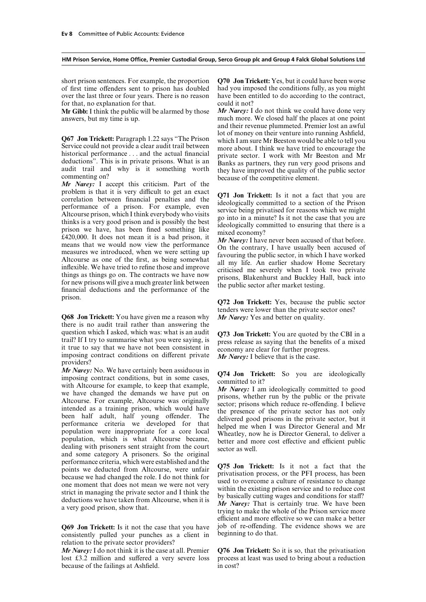of first time offenders sent to prison has doubled had you imposed the conditions fully, as you might over the last three or four years. There is no reason have been entitled to do according to the contract,

**Mr Gibb:** I think the public will be alarmed by those

problem is that it is very difficult to get an exact<br>correlation between financial penalties and the<br>correlation between financial penalties and the<br>deologically committed to a section of the Prison<br>performance of a priso prison. **Q72 Jon Trickett:** Yes, because the public sector

**Q68 Jon Trickett:** You have given me a reason why *Mr Narey:* Yes and better on quality. there is no audit trail rather than answering the question which I asked, which was: what is an audit  $Q73$  Jon Trickett: You are quoted by the CBI in a trail? If I try to summarise what you were saying, is<br>it true to say that we have not been consistent in<br>imposing cont providers?

*Mr Narey:* No. We have certainly been assiduous in  $Q74$  Jon Trickett: So you are ideologically imposing contract conditions, but in some cases,  $Q74$  Jon Trickett: So you are ideologically with Altcourse for example, and some category A prisoners. So the original performance criteria, which were established and the<br>points we deducted from Altcourse, were unfair<br>because we had changed the role. I do not think for<br>one moment that does not mean we were not very<br>strict in managing the

consistently pulled your punches as a client in relation to the private sector providers?<br> $Mr Narey$ : I do not think it is the case at all. Premier

*Mr Narey:* I do not think it is the case at all. Premier **Q76 Jon Trickett:** So it is so, that the privatisation lost £3.2 million and suffered a very severe loss process at least was used to bring about a reduction because of the failings at Ashfield. in cost?

short prison sentences. For example, the proportion **Q70 Jon Trickett:** Yes, but it could have been worse

for that, no explanation for that.<br> **Mr Gibb:** I think the public will be alarmed by those **Mr Narey:** I do not think we could have done very answers, but my time is up. much more. We closed half the places at one point and their revenue plummeted. Premier lost an awful **Q67 Jon Trickett:** Paragraph 1.22 says "The Prison<br>Service could not provide a clear audit trail between<br>historical performance ... and the actual financial<br>deductions". This is in private prisons. What is an<br>audit trail

tenders were lower than the private sector ones?

efficient and more effective so we can make a better **Q69 Jon Trickett:** Is it not the case that you have job of re-offending. The evidence shows we are consistently pulled your punches as a client in beginning to do that.

process at least was used to bring about a reduction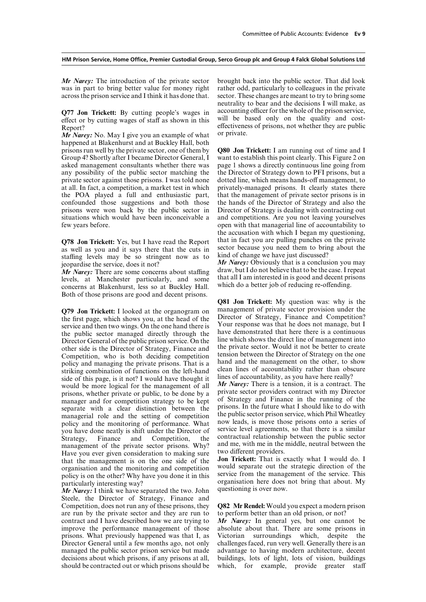was in part to bring better value for money right across the prison service and I think it has done that. sector. These changes are meant to try to bring some

effect or by cutting wages of staff as shown in this

*Mr Narey:* No. May I give you an example of what happened at Blakenhurst and at Buckley Hall, both prisons run well by the private sector, one of them by **Q80 Jon Trickett:** I am running out of time and I Group 4? Shortly after I became Director General, I want to establish this point clearly. This Figure 2 on asked management consultants whether there was page 1 shows a directly continuous line going from asked management consultants whether there was page 1 shows a directly continuous line going from any possibility of the public sector matching the the Director of Strategy down to PFI prisons, but a private sector against those prisons. I was told none dotted line, which means hands-off management, to at all. In fact, a competition, a market test in which privately-managed prisons. It clearly states there at all. In fact, a competition, a market test in which privately-managed prisons. It clearly states there the POA played a full and enthusiastic part, that the management of private sector prisons is in the POA played a full and enthusiastic part, that the management of private sector prisons is in confounded those suggestions and both those the hands of the Director of Strategy and also the confounded those suggestions and both those prisons were won back by the public sector in Director of Strategy is dealing with contracting out situations which would have been inconceivable a and competitions. Are you not leaving yourselves situations which would have been inconceivable a and competitions. Are you not leaving yourselves few years before.

as well as you and it says there that the cuts in<br>sector because you need them to bring about the<br>staffing levels may be so stringent now as to<br>jeopardise the service, does it not?<br>*Mr Narey*: Obviously that is a conclusi

*Mr Narey:* There are some concerns about staffing draw, but I do not believe that to be the case. I repeat<br>levels, at Manchester particularly, and some that all I am interested in is good and decent prisons<br>concerns at Bl Both of those prisons are good and decent prisons.

Director General of the public prison service. On the line which shows the direct line of management into other side is the Director of Strategy. Finance and the private sector. Would it not be better to create other side is the Director of Strategy, Finance and the private sector. Would it not be better to create Competition who is both deciding competition tension between the Director of Strategy on the one Competition, who is both deciding competition tension between the Director of Strategy on the one<br>policy and managing the private prisons. That is a hand and the management on the other, to show policy and managing the private prisons. That is a hand and the management on the other, to show<br>striking combination of functions on the left-hand clean lines of accountability rather than obscure striking combination of functions on the left-hand clean lines of accountability rather than obscure side of this page, is it not? I would have thought it lines of accountability, as you have here really? would he more lo would be more logical for the management of all **Mr Narey:** There is a tension, it is a contract. The prisons whether private or public to be done by a private sector providers contract with my Director prisons, whether private or public, to be done by a private sector providers contract with my Director manager and for competition strategy to be kept. of Strategy and Finance in the running of the manager and for competition strategy to be kept of Strategy and Finance in the running of the<br>separate with a clear distinction between the prisons. In the future what I should like to do with separate with a clear distinction between the prisons. In the future what I should like to do with managerial role and the setting of competition the public sector prison service, which Phil Wheatley managerial role and the setting of competition the public sector prison service, which Phil Wheatley<br>nolicy and the monitoring of performance. What now leads, is move those prisons onto a series of policy and the monitoring of performance. What<br>you have done neatly is shift under the Director of<br>service level agreements, so that there is a similar<br>Strategy, Finance and Competition, the contractual relationship betwee management of the private sector prisons. Why? and me, with me in the matter move that middle matter is the middle matter the middle matter is moved if  $\frac{1}{2}$ Have you ever given consideration to making sure two different providers.<br>that the management is on the one side of the **Jon Trickett:** That is exactly what I would do. I

*Mr Narey:* I think we have separated the two. John Steele, the Director of Strategy, Finance and Competition, does not run any of these prisons, they **Q82 Mr Rendel:** Would you expect a modern prison are run by the private sector and they are run to to perform better than an old prison, or not? contract and I have described how we are trying to *Mr Narey:* In general yes, but one cannot be improve the performance management of those absolute about that. There are some prisons in improve the performance management of those prisons. What previously happened was that I, as Victorian surroundings which, despite the Director General until a few months ago, not only challenges faced, run very well. Generally there is an managed the public sector prison service but made advantage to having modern architecture, decent decisions about which prisons, if any prisons at all, buildings, lots of light, lots of vision, buildings should be contracted out or which prisons should be which, for example, provide greater staff

*Mr Narey:* The introduction of the private sector brought back into the public sector. That did look was in part to bring better value for money right rather odd, particularly to colleagues in the private neutrality to bear and the decisions I will make, as **Q77 Jon Trickett:** By cutting people's wages in accounting officer for the whole of the prison service, effect or by cutting wages of staff as shown in this will be based only on the quality and cost-Report?<br>
Me Naray: No. May I give you an example of what or private.

the Director of Strategy down to PFI prisons, but a open with that managerial line of accountability to the accusation with which I began my questioning, **Q78 Jon Trickett:** Yes, but I have read the Report that in fact you are pulling punches on the private as well as you and it says there that the cuts in sector because you need them to bring about the

**Q81 Jon Trickett:** My question was: why is the management of private sector provision under the **Q79 Jon Trickett:** I looked at the organogram on management of private sector provision under the<br>the first page, which shows you, at the head of the Director of Strategy, Finance and Competition?<br>service and then two win

that the management is on the one side of the<br>organisation and the monitoring and competition<br>would separate out the strategic direction of the<br>policy is on the other? Why have you done it in this<br>particularly interesting

buildings, lots of light, lots of vision, buildings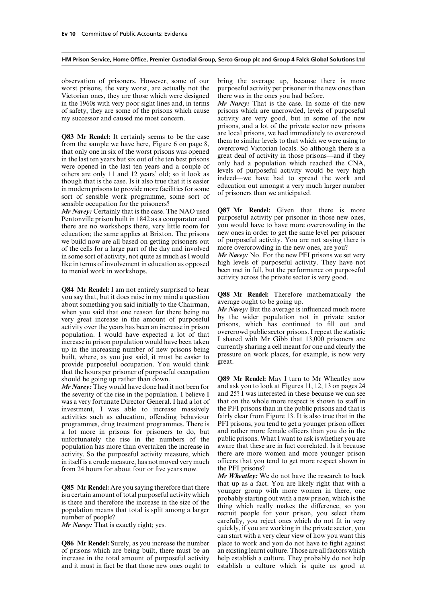observation of prisoners. However, some of our bring the average up, because there is more worst prisons, the very worst, are actually not the purposeful activity per prisoner in the new ones than Victorian ones, they are those which were designed there was in the ones you had before. in the 1960s with very poor sight lines and, in terms *Mr Narey:* That is the case. In some of the new of safety, they are some of the prisons which cause prisons which are uncrowded, levels of purposeful my successor and caused me most concern. activity are very good, but in some of the new

**Q83 Mr Rendel:** It certainly seems to be the case are local prisons, we had immediately to overcrowd<br>from the sample we have here, Figure 6 on page 8, that which we were using to<br>that only one in six of the worst prisons sensible occupation for the prisoners?

Pentonville prison built in 1842 as a comparator and purposeful activity per prisoner in those new ones, there are no workshops there very little room for you would have to have more overcrowding in the there are no workshops there, very little room for you would have to have more overcrowding in the education: the same annlies at Brixton. The prisons new ones in order to get the same level per prisoner education; the same applies at Brixton. The prisons new ones in order to get the same level per prisoner we build now are all based on getting prisoners out of purposeful activity. You are not saying there is we build now are all based on getting prisoners out of purposeful activity. You are not saying the of the cells for a large part of the day and involved more overcrowding in the new ones, are you? of the cells for a large part of the day and involved more overcrowding in the new ones, are you?<br>in some sort of activity, not quite as much as I would Mr Narey: No. For the new PFI prisons we set very in some sort of activity, not quite as much as I would *Mr Narey:* No. For the new PFI prisons we set very like in terms of involvement in education as opposed high levels of purposeful activity. They have not

**Q84 Mr Rendel:** I am not entirely surprised to hear<br>you say that, but it does raise in my mind a question<br>about something you said initially to the Chairman,<br>about something you said initially to the Chairman,<br>when you s that the hours per prisoner of purposeful occupation

the severity of the rise in the population. I believe I and 25? I was interested in these because we can see<br>was a very fortunate Director General. I had a lot of that on the whole more respect is shown to staff in was a very fortunate Director General. I had a lot of investment, I was able to increase massively the PFI prisons than in the public prisons and that is activities such as education, offending behaviour fairly clear from Figure 13. It is also true that in the activities such as education, offending behaviour fairly clear from Figure 13. It is also true that in the programmes, drug treatment programmes. There is PFI prisons, you tend to get a younger prison officer programmes, drug treatment programmes. There is PFI prisons, you tend to get a younger prison officer a lot more in prisons for prisoners to do, but and rather more female officers than you do in the a lot more in prisons for prisoners to do, but and rather more female officers than you do in the unfortunately the rise in the numbers of the public prisons. What I want to ask is whether you are unfortunately the rise in the numbers of the public prisons. What I want to ask is whether you are no pulation has more than overtaken the increase in aware that these are in fact correlated. Is it because population has more than overtaken the increase in aware that these are in fact correlated. Is it because activity. So the purposeful activity measure, which there are more women and more younger prison activity. So the purposeful activity measure, which there are more women and more younger prison<br>in itself is a crude measure, has not moved very much officers that you tend to get more respect shown in in itself is a crude measure, has not moved very much officers that you from 24 hours for about four or five years now. the PFI prisons? from 24 hours for about four or five years now.

of prisons which are being built, there must be an an existing learnt culture. Those are all factors which increase in the total amount of purposeful activity help establish a culture. They probably do not help and it must in fact be that those new ones ought to establish a culture which is quite as good at

prisons, and a lot of the private sector new prisons

*Mr Narey:* Certainly that is the case. The NAO used **Q87 Mr Rendel:** Given that there is more Pentonville prison built in 1842 as a comparator and purposeful activity per prisoner in those new ones,

like in terms of involvement in education as opposed high levels of purposeful activity. They have not to menial work in workshops.<br>to menial work in workshops.<br>activity across the private sector is very good.

should be going up rather than down.<br> **Q89 Mr Rendel:** May I turn to Mr Wheatley now<br> *Mr Narey:* They would have done had it not been for and ask you to look at Figures 11, 12, 13 on pages 24 *Mr Narey:* They would have done had it not been for and ask you to look at Figures 11, 12, 13 on pages 24 the severity of the rise in the population. I believe I and 25? I was interested in these because we can see

*Mr Wheatley:* We do not have the research to back **Q85 Mr Rendel:** Are you saying therefore that there<br>is a certain amount of total purposeful activity which<br>is there and therefore the increase in the size of the<br>population means that total is split among a larger<br>number can start with a very clear view of how you want this **Q86 Mr Rendel:** Surely, as you increase the number place to work and you do not have to fight against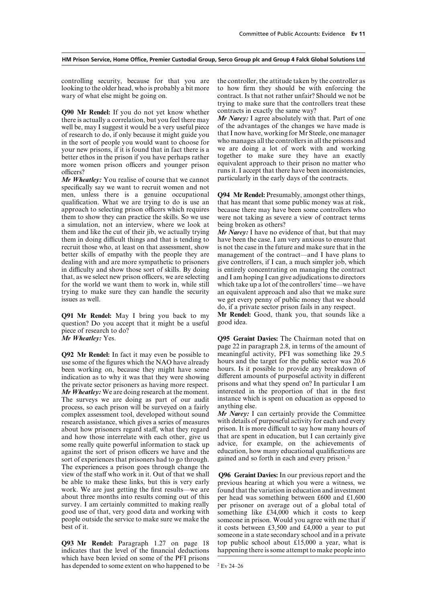looking to the older head, who is probably a bit more wary of what else might be going on. contract. Is that not rather unfair? Should we not be

**Q90 Mr Rendel:** If you do not yet know whether contracts in exactly the same way?<br>
there is actually a correlation, but you feel there may *Mr Narey:* I agree absolutely with that. Part of one well be may I suggest it wou well be, may I suggest it would be a very useful piece of the advantages of the changes we have made is<br>of research to do, if only because it might guide you that I now have, working for Mr Steele, one manager of research to do, if only because it might guide you that I now have, working for Mr Steele, one manager<br>in the sort of people you would want to choose for who manages all the controllers in all the prisons and in the sort of people you would want to choose for who manages all the controllers in all the prisons and vour new prisons if it is found that in fact there is a we are doing a lot of work with and working your new prisons, if it is found that in fact there is a we are doing a lot of work with and working<br>better ethos in the prison if you have perhaps rather together to make sure they have an exactly better ethos in the prison if you have perhaps rather together to make sure they have an exactly more women prison officers and vounger prison equivalent approach to their prison no matter who more women prison officers and younger prison

*Mr Wheatley:* You realise of course that we cannot specifically say we want to recruit women and not men. unless there is a genuine occupational qualification. What we are trying to do is use an that has meant that some public money was at risk, approach to selecting prison officers which requires because there may have been some controllers who them to show they can practice the skills. So we use were not taking as severe a view of contract terms a simulation, not an interview, where we look at being broken as others? them and like the cut of their jib, we actually trying *Mr Narey:* I have no evidence of that, but that may them in doing difficult things and that is tending to have been the case. I am very anxious to ensure that them in doing difficult things and that is tending to recruit those who, at least on that assessment, show better skills of empathy with the people they are dealing with and are more sympathetic to prisoners give controllers, if I can, a much simpler job, which in difficulty and show those sort of skills. By doing is entirely concentrating on managing the contract in difficulty and show those sort of skills. By doing is entirely concentrating on managing the contract that, as we select new prison officers, we are selecting and I am hoping I can give adjudications to directors that, as we select new prison officers, we are selecting and I am hoping I can give adjudications to directors for the world we want them to work in, while still which take up a lot of the controllers' time—we have for the world we want them to work in, while still trying to make sure they can handle the security an equivalent approach and also that we make sure

**Q91 Mr Rendel:** May I bring you back to my **Mr Rendel:** Good, thank you, that sounds like a question? Do you accept that it might be a useful good idea. question? Do you accept that it might be a useful piece of research to do?

use some of the figures which the NAO have already hours and the target for the public sector was 20.6 been working on, because they might have some hours. Is it possible to provide any breakdown of been working on, because they might have some hours. Is it possible to provide any breakdown of indication as to why it was that they were showing different amounts of purposeful activity in different indication as to why it was that they were showing different amounts of purposeful activity in different the private sector prisoners as having more respect. prisons and what they spend on? In particular I am the private sector prisoners as having more respect. prisons and what they spend on? In particular I am Mr Wheatlev: We are doing research at the moment. interested in the proportion of that in the first *Mr Wheatley:* We are doing research at the moment. interested in the proportion of that in the first The surveys we are doing as part of our audit instance which is spent on education as opposed to The surveys we are doing as part of our audit instance which process, so each prison will be surveyed on a fairly anything else. process, so each prison will be surveyed on a fairly complex assessment tool, developed without sound *Mr Narey:* I can certainly provide the Committee research assistance, which gives a series of measures with details of purposeful activity for each and every research assistance, which gives a series of measures with details of purposeful activity for each and every about how prisoners regard staff, what they regard prison. It is more difficult to say how many hours of about how prisoners regard staff, what they regard and how those interrelate with each other, give us that are spent in education, but I can certainly give some really quite powerful information to stack up advice, for example, on the achievements of some really quite powerful information to stack up advice, for example, on the achievements of against the sort of prison officers we have and the education, how many educational qualifications are against the sort of prison officers we have and the education, how many educational qualification<br>sort of experiences that prisoners had to go through gained and so forth in each and every prison.<sup>2</sup> sort of experiences that prisoners had to go through. The experiences a prison goes through change the view of the staff who work in it. Out of that we shall **Q96 Geraint Davies:** In our previous report and the be able to make these links, but this is very early previous hearing at which you were a witness, we be able to make these links, but this is very early previous hearing at which you were a witness, we work. We are just getting the first results—we are found that the variation in education and investment work. We are just getting the first results—we are found that the variation in education and investment about three months into results coming out of this per head was something between £600 and £1.600 about three months into results coming out of this per head was something between  $£600$  and  $£1,600$  survey. I am certainly committed to making really per prisoner on average out of a global total of survey. I am certainly committed to making really per prisoner on average out of a global total of good use of that, very good data and working with something like £34,000 which it costs to keep good use of that, very good data and working with something like  $£34,000$  which it costs to keep people outside the service to make sure we make the someone in prison. Would you agree with me that if people outside the service to make sure we make the someone in prison. Would you agree with me that if<br>best of it.

indicates that the level of the financial deductions which have been levied on some of the PFI prisons has depended to some extent on who happened to be  $2 \text{ EV } 24-26$ 

controlling security, because for that you are the controller, the attitude taken by the controller as looking to the older head, who is probably a bit more to how firm they should be with enforcing the trying to make sure that the controllers treat these

officers?<br> **of the inconsistencies,**<br> *Mr Wheatley:* You realise of course that we cannot particularly in the early days of the contracts.

**Q94 Mr Rendel:** Presumably, amongst other things, were not taking as severe a view of contract terms.

is not the case in the future and make sure that in the management of the contract—and I have plans to issues as well. we get every penny of public money that we should do, if a private sector prison fails in any respect.

*Mr Wheatley:* Yes. **Q95 Geraint Davies:** The Chairman noted that on page 22 in paragraph 2.8, in terms of the amount of meaningful activity, PFI was something like 29.5 **Q92 Mr Rendel:** In fact it may even be possible to meaningful activity, PFI was something like 29.5 use some of the figures which the NAO have already hours and the target for the public sector was 20.6

it costs between  $£3,500$  and  $£4,000$  a year to put someone in a state secondary school and in a private<br>top public school about £15,000 a year, what is **Q93 Mr Rendel:** Paragraph 1.27 on page 18 top public school about £15,000 a year, what is indicates that the level of the financial deductions happening there is some attempt to make people into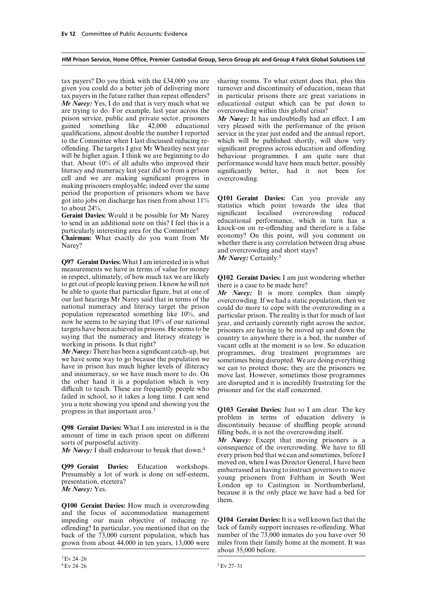given you could do a better job of delivering more tax payers in the future rather than repeat offenders? in particular prisons there are great variations in *Mr Narey:* Yes, I do and that is very much what we educational output which can be put down to are trying to do. For example, last year across the overcrowding within this global crisis? prison service, public and private sector, prisoners *Mr Narey:* It has undoubtedly had an effect. I am gained something like 42,000 educational very pleased with the performance of the prison gained something like 42,000 educational very pleased with the performance of the prison qualifications, almost double the number I reported service in the vear just ended and the annual report. qualifications, almost double the number I reported service in the year just ended and the annual report, to the Committee when I last discussed reducing re-<br>which will be published shortly, will show very offending. The targets I give Mr Wheatley next year significant progress across education and offending will be higher again. I think we are beginning to do behaviour programmes. I am quite sure that will be higher again. I think we are beginning to do behaviour programmes. I am quite sure that that. About 10% of all adults who improved their performance would have been much better, possibly that. About  $10\%$  of all adults who improved their literacy and numeracy last year did so from a prison significantly better, had it not been for cell and we are making significant progress in overcrowding. making prisoners employable; indeed over the same<br>period the proportion of prisoners whom we have

**Q97 Geraint Davies:** What I am interested in is what measurements we have in terms of value for money<br>in respect, ultimately, of how much tax we are likely to get out of people leaving prison. I know he will not there is a case to be made here?<br>be able to quote that particular figure, but at one of  $Mr$  Narey: It is more complex than simply

*Mr Narey:* There has been a significant catch-up, but<br>we have some way to go because the population we<br>have in prison has much higher levels of illiteracy<br>and innumeracy, so we have much more to do. On<br>the other hand it failed in school, so it takes a long time. I can send you a note showing you spend and showing you the progress in that important area.3 **Q103 Geraint Davies:** Just so I am clear. The key

**Q98 Geraint Davies:** What I am interested in is the discontinuity because of shuffling people around<br>amount of time in each prison spent on different filling beds, it is not the overcrowding itself.<br>Mr Narey: Except that

*Mr Narey:*  $\tilde{I}$  shall endeavour to break that down.<sup>4</sup>

**Q100 Geraint Davies:** How much is overcrowding and the focus of accommodation management impeding our main objective of reducing re- **Q104 Geraint Davies:**It is a well known fact that the offending? In particular, you mentioned that on the lack of family support increases re-offending. What back of the  $73,000$  current population, which has number of the  $73,000$  inmates do you have over 50 back of the 73,000 current population, which has number of the 73,000 inmates do you have over 50 grown from about 44,000 in ten years, 13,000 were miles from their family home at the moment. It was grown from about 44,000 in ten years, 13,000 were

tax payers? Do you think with the £34,000 you are sharing rooms. To what extent does that, plus this given you could do a better job of delivering more turnover and discontinuity of education, mean that

which will be published shortly, will show very significant progress across education and offending

period the proportion of prisoners whom we have **Q101 Geraint Davies:** Can you provide any got into jobs on discharge has risen from about 11% statistics which point towards the idea that to about 24%. **Geraint Davies:** Would it be possible for Mr Narey significant localised overcrowding reduced to send in an additional note on this? I feel this is a ducational performance, which in turn has a particularly interesting area for the Committee?<br> **Chairman:** What exactly do you want from Mr<br>
Narey?<br>
Narey?<br>
Narey? whether there is any correlation between drug abuse and overcrowding and short stays? *Mr Narey:* Certainly.<sup>5</sup>

**Q102 Geraint Davies:** I am just wondering whether there is a case to be made here?

be able to quote that particular figure, but at one of *Mr* Narey: It is more complex than simply<br>our last hearings Mr Narey said that in terms of the<br>national numeracy and literacy target the prison<br>population represent

problem in terms of education delivery is

every prison bed that we can and sometimes, before I **Q99 Geraint Davies:** Education workshops. moved on, when I was Director General, I have been<br>Presumably a lot of work is done on self-esteem, enception of work is done on self-esteem.<br>The presentation, etcetera?<br>*Mr Narey* them.

about 35,000 before.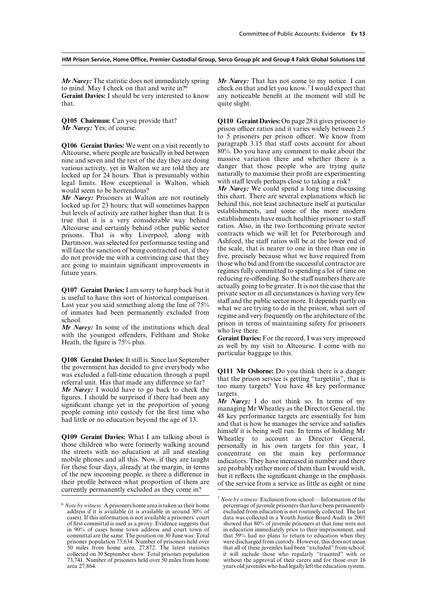to mind. May I check on that and write in? I would expect that  $\frac{1}{2}$  check on that and let you know.<sup>7</sup> I would expect that **Geraint Davies:** I should be very interested to know any noticeable benefit at the moment will still be that. quite slight.

Altcourse, where people are basically in bed between  $80\%$ . Do you have any comment to make about the nine and seven and the rest of the day they are doing massive variation there and whether there is a nine and seven and the rest of the day they are doing massive variation there and whether there is a<br>various activity yet in Walton we are told they are danger that those people who are trying quite various activity, yet in Walton we are told they are<br>locked up for 24 hours. That is presumably within<br>the naturally to maximise their profit are experimenting<br>legal limits. How exceptional is Walton, which<br>with staff leve

behind this, not least architecture itself at particular locked up for 23 hours; that will sometimes happen behind this, not least architecture itself at particular locked up for 23 hours; that will sometime happen behind but levels of activity are rather higher than that. It is establishments, and some of the more modern<br>true that it is a very considerable way behind establishments have much healthier prisoner to staff true that it is a very considerable way behind establishments have much healthier prisoner to staff<br>Altcourse and certainly behind other public sector ratios. Also, in the two forthcoming private sector Altcourse and certainly behind other public sector ratios. Also, in the two forthcoming private sector prisons. That is why Liverpool, along with contracts which we will let for Peterborough and prisons. That is why Liverpool, along with contracts which we will let for Peterborough and Dartmoor was selected for performance testing and Ashford, the staff ratios will be at the lower end of Dartmoor, was selected for performance testing and Ashford, the staff ratios will be at the lower end of will face the sanction of being contracted out if they the scale, that is nearer to one in three than one in will face the sanction of being contracted out, if they the scale, that is nearer to one in three than one in<br>do not provide me with a convincing case that they five, precisely because what we have required from do not provide me with a convincing case that they five, precisely because what we have required from<br>are going to maintain significant improvements in those who bid and from the successful contractor are are going to maintain significant improvements in future years.<br>
Future vears.

**Q108 Geraint Davies:** It still is. Since last September the government has decided to give everybody who<br>was excluded a full-time education through a pupil<br>referral unit. Has that made any difference so far?<br>*Mr Narey*: I would have to go back to check the<br>figures. I should be

*Mr Narey:* The statistic does not immediately spring *Mr Narey:* That has not come to my notice. I can

**Q105 Chairman:** Can you provide that? **Q110 Geraint Davies:** On page 28 it gives prisoner to *Mr Narey*: Yes; of course. **CALC** prison officer ratios and it varies widely between 2.5 prison officer ratios and it varies widely between 2.5 to 5 prisoners per prison officer. We know from **Q106 Geraint Davies:** We went on a visit recently to paragraph 3.15 that staff costs account for about Altcourse where people are basically in bed between 80%. Do you have any comment to make about the

would seem to be horrendous?<br>*Mr Narey:* We could spend a long time discussing<br>*Mr Narey:* Prisoners at Walton are not routinely this chart. There are several explanations which lie *Mr Narey:* Prisoners at Walton are not routinely this chart. There are several explanations which lie<br>locked up for 23 hours: that will sometimes happen behind this, not least architecture itself at particular reducing re-offending. So the staff numbers there are **Q107 Geraint Davies:** I am sorry to harp back but it is not be greater. It is not the case that the<br>is useful to have this sort of historical comparison.<br>Last year you said something along the line of  $75\%$  staff and th

particular baggage to this.

**Q109 Geraint Davies:** What I am talking about is thimself it is being well run. In terms of holding Mr those children who were formerly walking around personally in his own targets for this year, I the streets with no edu

 $6$  *Note by witness:* A prisoners home area is taken as their home address if it is available (it is available in around  $30\%$  of prisoner population 73,634. Number of prisoners held over 50 miles from home area, 27,872. The latest statistics area 27,864. years old juveniles who had legally left the education system.

<sup>7</sup> *Note by witness:* Exclusion from school:—Information of the address if it is available (it is available in around 30% of excluded from education is not routinely collected. The last cases). If this information is not available a prisoners' court data was collected in a Youth Justic cases). If this information is not available a prisoners' court data was collected in a Youth Justice Board Audit in 2001 of first committal is used as a proxy. Evidence suggests that showed that 80% of juvenile prisoners at that time were not<br>in 90% of cases home town address and court town of in education immediately prior to their imprison in 90% of cases home town address and court town of in education immediately prior to their imprisonment, and committal are the same. The position on 30 June was: Total that 59% had no plans to return to education when the that 59% had no plans to return to education when they were discharged from custody. However, this does not mean 50 miles from home area, 27,872. The latest statistics that all of these juveniles had been "excluded" from school; collected on 30 September show: Total prisoner population it will include those who regularly "truanted" w collected on 30 September show: Total prisoner population it will include those who regularly "truanted" with or 73,741. Number of prisoners held over 50 miles from home without the approval of their carers and for those o 13,741. Number of prisoners held over 50 million home without the approval of their carers and for those over 16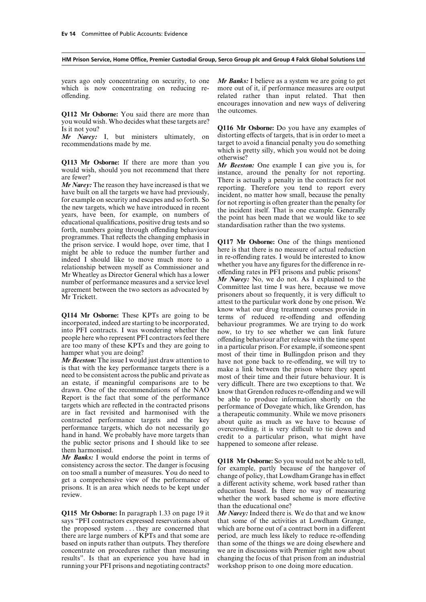which is now concentrating on reducing re- more out of it, if performance measures are output offending. That is related rather than input related. That then

**Q112 Mr Osborne:** You said there are more than the outcomes. you would wish. Who decides what these targets are?

*Mr Narey:* I, but ministers ultimately, on recommendations made by me.

programmes. That reflects the changing emphasis in<br>the prison service. I would hope, over time, that I Q117 Mr Osborne: One of the things mentioned<br>might be able to reduce the number further and<br>there is that there is no m might be able to reduce the number further and<br>in re-offending rates. I would be interested to know<br>model I should like to move much more to a indeed I should like to move much more to a unit re-offending rates. I would be interested to know relationship between myself as Commissioner and whether you have any figures for the difference in re-Mr Wheatley as Director General which has a lower offending rates in PFI prisons and public prisons?<br>  $M_r$  Narey: No, we do not. As I explained to the number of performance measures and a service level Mr *Narey:* No, we do not. As I explained to the agreement between the two sectors as advocated by Committee last time I was here, because we move  $\frac{M}{L}$  Mr Trickett. Prisoners about so frequently, it is very difficult to

an estate, if meaningful comparisons are to be<br>drawn. One of the recommendations of the NAO<br>Report is the fact that some of the performance<br>Report is the fact that some of the performance<br>targets which are reflected in the hand in hand. We probably have more targets than credit to a particular prison, what might have the public sector prisons and I should like to see happened to someone after release.

**Ar Banks:** I would endorse the point in terms of<br>consistency across the sector. The danger is focusing<br>on too small a number of measures. You do need to<br>get a comprehensive view of the performance of<br>prisons. It is an are

**Q115 Mr Osborne:** In paragraph 1.33 on page 19 it *Mr Narey:* Indeed there is. We do that and we know says "PFI contractors expressed reservations about that some of the activities at Lowdham Grange, the proposed system  $\ldots$  they are concerned that which are borne out of a contract born in a different there are large numbers of KPTs and that some are period, are much less likely to reduce re-offending based on inputs rather than outputs. They therefore than some of the things we are doing elsewhere and concentrate on procedures rather than measuring we are in discussions with Premier right now about results". Is that an experience you have had in changing the focus of that prison from an industrial running your PFI prisons and negotiating contracts? workshop prison to one doing more education.

years ago only concentrating on security, to one *Mr Banks:* I believe as a system we are going to get encourages innovation and new ways of delivering

Is it not you?<br>It is not you wish the ministers ultimately, on distorting effects of targets, that is in order to meet a target to avoid a financial penalty you do something which is pretty silly, which you would not be doing

**Q113 Mr Osborne:** If there are more than you otherwise?<br>
would wish, should you not recommend that there is actually a penalty for not reporting.<br> *Mr Narey:* The reason they have increased is that we<br>
have built on all

attest to the particular work done by one prison. We **Q114 Mr Osborne:** These KPTs are going to be<br>incorporated, indeed are starting to be incorporated, behaviour programmes. We are trying to do work<br>into PFI contracts. I was wondering whether the now, to try to see whether

than the educational one?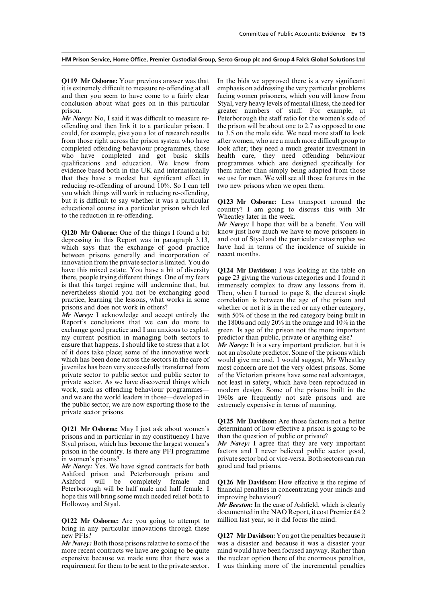**Q119 Mr Osborne:** Your previous answer was that In the bids we approved there is a very significant it is extremely difficult to measure re-offending at all emphasis on addressing the very particular problems and then you seem to have come to a fairly clear facing women prisoners, which you will know from conclusion about what goes on in this particular Styal, very heavy levels of mental illness, the need for

offending and then link it to a particular prison. I the prison will be about one to 2.7 as opposed to one could, for example, give you a lot of research results to  $3.5$  on the male side. We need more staff to look from those right across the prison system who have after women, who are a much more difficult group to completed offending behaviour programmes, those look after; they need a much greater investment in who have completed and got basic skills health care, they need offending behaviour who have completed and got basic skills health care, they need offending behaviour qualifications and education. We know from programmes which are designed specifically for evidence based both in the UK and internationally them rather than simply being adapted from those that they have a modest but significant effect in we use for men. We will see all those features in the reducing re-offending of around  $10\%$ . So I can tell two new prisons when we open them. you which things will work in reducing re-offending, but it is difficult to say whether it was a particular **Q123 Mr Osborne:** Less transport around the educational course in a particular prison which led country? I am going to discuss this with Mr to the reduction in re-offending. Wheatley later in the week.

**Q120 Mr Osborne:** One of the things I found a bit know just how much we have to move prisoners in depressing in this Report was in paragraph 3.13 and out of Stval and the particular catastrophes we depressing in this Report was in paragraph 3.13, and out of Styal and the particular catastrophes we which says that the exchange of good practice have had in terms of the incidence of suicide in which says that the exchange of good practice have had in the hetween prisons generally and incorporation of recent months between prisons generally and incorporation of innovation from the private sector is limited. You do have this mixed estate. You have a bit of diversity **Q124 Mr Davidson:** I was looking at the table on there, people trying different things. One of my fears page 23 giving the various categories and I found it there, people trying different things. One of my fears page 23 giving the various categories and I found it is that this target regime will undermine that, but immensely complex to draw any lessons from it. is that this target regime will undermine that, but immensely complex to draw any lessons from it.<br>nevertheless should you not be exchanging good Then, when I turned to page 8, the clearest single nevertheless should you not be exchanging good practice, learning the lessons, what works in some correlation is between the age of the prison and prisons and does not work in others?<br>Whether or not it is in the red or any other category.

Report's conclusions that we can do more to the 1800s and only  $20\%$  in the orange and  $10\%$  in the exchange good practice and I am anxious to exploit green. Is age of the prison not the more important exchange good practice and I am anxious to exploit green. Is age of the prison not the more important my current position in managing both sectors to predictor than public, private or anything else? ensure that happens. I should like to stress that a lot *Mr Narey*: It is a very important predictor, but it is of it does take place; some of the innovative work not an absolute predictor. Some of the prisons which which has been done across the sectors in the care of would give me and. I would suggest. Mr Wheatlev which has been done across the sectors in the care of would give me and, I would suggest, Mr Wheatley juveniles has been very successfully transferred from most concern are not the very oldest prisons. Some private sector to public sector and public sector to of the Victorian prisons have some real advantages, private sector. As we have discovered things which not least in safety, which have been reproduced in work, such as offending behaviour programmes— modern design. Some of the prisons built in the work, such as offending behaviour programmes— modern design. Some of the prisons built in the and we are the world leaders in those—developed in 1960s are frequently not safe prisons and are the public sector, we are now exporting those to the extremely expensive in terms of manning. private sector prisons.

**Q121 Mr Osborne:** May I just ask about women's determinant of how effective a prison is going to be prisons and in particular in my constituency I have than the question of public or private? prisons and in particular in my constituency I have than the question of public or private?<br>Styal prison, which has become the largest women's  $\Delta H \cdot N$  are that the area very important Styal prison, which has become the largest women's *Mr Narey:* I agree that they are very important prison in the country. Is there any PFI programme factors and I never believed public sector good, prison in the country. Is there any  $\overline{PFI}$  programme

*Mr Narey:* Yes. We have signed contracts for both Ashford prison and Peterborough prison and<br>Ashford will be completely female and Ashford will be completely female and **Q126 Mr Davidson:** How effective is the regime of Peterborough will be half male and half female. I financial penalties in concentrating your minds and hope this will bring some much needed relief both to improving behaviour?<br>Holloway and Styal. Mr Beeston: In the case

**Q122 Mr Osborne:** Are you going to attempt to million last year, so it did focus the mind. bring in any particular innovations through these new PFIs? **Q127 Mr Davidson:** You got the penalties because it

more recent contracts we have are going to be quite mind would have been focused anyway. Rather than expensive because we made sure that there was a the nuclear option there of the enormous penalties, expensive because we made sure that there was a requirement for them to be sent to the private sector. I was thinking more of the incremental penalties

prison. greater numbers of staff. For example, at *Mr Narey:* No, I said it was difficult to measure re- Peterborough the staff ratio for the women's side of

country? I am going to discuss this with Mr

*Mr Narey:* I hope that will be a benefit. You will know just how much we have to move prisoners in

whether or not it is in the red or any other category. *Mr Narey:* I acknowledge and accept entirely the with 50% of those in the red category being built in predictor than public, private or anything else?

> most concern are not the very oldest prisons. Some 1960s are frequently not safe prisons and are

> **Q125 Mr Davidson:** Are those factors not a better

in women's prisons?<br> *Mr Narey:* Yes. We have signed contracts for both good and bad prisons.

financial penalties in concentrating your minds and

Mr Beeston: In the case of Ashfield, which is clearly documented in the NAO Report, it cost Premier £4.2

*Mr Narey:* Both those prisons relative to some of the was a disaster and because it was a disaster your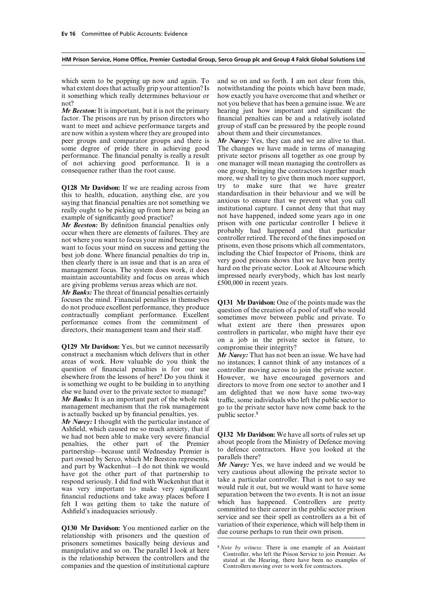what extent does that actually grip your attention? Is notwithstanding the points which have been made, it something which really determines behaviour or how exactly you have overcome that and whether or not? not you believe that has been a genuine issue. We are

factor. The prisons are run by prison directors who financial penalties can be and a relatively isolated want to meet and achieve performance targets and group of staff can be pressured by the people round are now within a system where they are grouped into about them and their circumstances. peer groups and comparator groups and there is *Mr Narey:* Yes, they can and we are alive to that. some degree of pride there in achieving good The changes we have made in terms of managing performance. The financial penalty is really a result private sector prisons all together as one group by of not achieving good performance. It is a one manager will mean managing the controllers as consequence rather than the root cause. one group, bringing the contractors together much

occur when there are elements of failures. They are probably had happened and that particular not where you want to focus your mind because you controller retired. The record of the fines imposed on want to focus your mind want to focus your mind on success and getting the prisons, even those prisons which all commentators, here is a both done. Where financial penalties do trip in including the Chief Inspector of Prisons, think are best job done. Where financial penalties do trip in, including the Chief Inspector of Prisons, think are then clearly there is an issue and that is an area of very good prisons shows that we have been pretty management foc management focus. The system does work, it does hard on the private sector. Look at Altcourse which<br>maintain accountability and focus on areas which impressed nearly everybody, which has lost nearly maintain accountability and focus on areas which impressed nearly everyboth are giving problems versus areas which are not  $£500,000$  in recent years. are giving problems versus areas which are not.

*Mr Banks:* The threat of financial penalties certainly

**Q129 Mr Davidson:** Yes, but we cannot necessarily construct a mechanism which delivers that in other construct a mechanism which delivers that in other *Mr Narey*: That has not been an issue. We have had areas of work. How valuable do you think the no instances: I cannot think of any instances of a areas of work. How valuable do you think the no instances; I cannot think of any instances of a question of financial penalties is for our use controller moving across to join the private sector. question of financial penalties is for our use controller moving across to join the private sector.<br>elsewhere from the lessons of here? Do you think it However, we have encouraged governors and is something we ought to be building in to anything directors to move from one sector to another and I else we hand over to the private sector to manage? am delighted that we now have some two-wav *Mr Banks:* It is an important part of the whole risk management mechanism that the risk management go to the private sector have now come back to the is actually backed up by financial penalties, yes. public sector.<sup>8</sup>

*Mr Narey:* I thought with the particular instance of Ashfield, which caused me so much anxiety, that if we had not been able to make very severe financial **Q132 Mr Davidson:** We have all sorts of rules set up penalties, the other part of the Premier about people from the Ministry of Defence moving penalties, the other part of the Premier about people from the Ministry of Defence moving<br>partnership—because until Wednesday Premier is to defence contractors. Have you looked at the<br>part owned by Serco, which Mr Beeston respond seriously. I did find with Wackenhut that it<br>would rule it out, but we would want to have some<br>financial reductions and take away places before I separation between the two events. It is not an issue separation between the two events. It is not all the two events. It is not all the public sector prison in the public sector prison committed to their career in the public sector prison

**Q130 Mr Davidson:** You mentioned earlier on the variation of their experience, which will help them in relationship with prisoners and the question of due course perhaps to run their own prison. prisoners sometimes basically being devious and<br>manipulative and so on. The parallel I look at here<br>is the relationship between the controllers and the<br>stated at the Hearing, there have been no examples of<br>ontrollers and t companies and the question of institutional capture Controllers moving over to work for contractors.

which seem to be popping up now and again. To and so on and so forth. I am not clear from this, *Mr Beeston:* It is important, but it is not the primary hearing just how important and significant the

more, we shall try to give them much more support, **Q128 Mr Davidson:** If we are reading across from try to make sure that we have greater this to health, education, anything else, are you standardisation in their behaviour and we will be saying that financial penalties ar example of significantly good practice?<br> *Mr Beeston:* By definition financial penalties only prison with one particular controller I believe it<br>
occur when there are elements of failures. They are probably had happened an

focuses the mind. Financial penalties in themselves<br>do not produce excellent performance, they produce<br>contractually compliant performance. Excellent<br>performance comes from the commitment of<br>directors, their management tea on a job in the private sector in future, to

> However, we have encouraged governors and am delighted that we now have some two-way traffic, some individuals who left the public sector to

committed to their career in the public sector prison service and see their spell as controllers as a bit of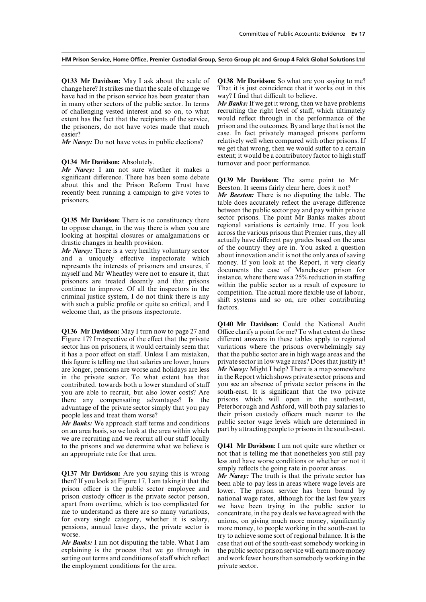**Q133 Mr Davidson:** May I ask about the scale of **Q138 Mr Davidson:** So what are you saying to me? change here? It strikes me that the scale of change we That it is just coincidence that it works out in this change here? It strikes me that the scale of change we have had in the prison service has been greater than way? I find that difficult to believe. in many other sectors of the public sector. In terms *Mr Banks:*If we get it wrong, then we have problems of challenging vested interest and so on, to what recruiting the right level of staff, which ultimately extent has the fact that the recipients of the service. Would reflect through in the performance of the extent has the fact that the recipients of the service, would reflect through in the performance of the the prisoners, do not have votes made that much prison and the outcomes. By and large that is not the the prisoners, do not have votes made that much

*Mr Narey:* Do not have votes in public elections?

*Mr Narey:* I am not sure whether it makes a significant difference. There has been some debate significant difference. There has been some debate<br>about this and the Prison Reform Trust have<br>recently been running a campaign to give votes to<br>prisoners.<br>the does accurately reflect the average difference<br>able does accu

*Mr Narey:* There is a very healthy voluntary sector<br>and a uniquely effective inspectorate which<br>and a uniquely effective inspectorate which<br>about innovation and it is not the only area of saving<br>represents the interests o

**Q136 Mr Davidson:** May I turn now to page 27 and Office clarify a point for me? To what extent do these Figure 17? Irrespective of the effect that the private different answers in these tables apply to regional sector has on prisoners, it would certainly seem that it has a poor effect on staff. Unless I am mistaken, that the public sector are in high wage areas and the this figure is telling me that salaries are lower, hours private sector in low wage areas? Does that justify it? are longer, pensions are worse and holidays are less *Mr Narey:* Might I help? There is a map somewhere in the private sector. To what extent has that in the Report which shows private sector prisons and contributed, towards both a lower standard of staff you see an absence of private sector prisons in the you are able to recruit, but also lower costs? Are south-east. It is significant that the two private there any compensating advantages? Is the prisons which will open in the south-east, there any compensating advantages? Is the prisons which will open in the south-east, advantage of the private sector simply that you pay. Peterborough and Ashford, will both pay salaries to advantage of the private sector simply that you pay people less and treat them worse? their prison custody officers much nearer to the

on an area basis, so we look at the area within which part by attracting people to prisons in the south-east. we are recruiting and we recruit all our staff locally to the prisons and we determine what we believe is **Q141 Mr Davidson:** I am not quite sure whether or an appropriate rate for that area. not that is telling me that nonetheless you still pay

Q137 Mr Davidson: Are you saying this is wrong<br>then? If you look at Figure 17, I am taking it that the<br>prison officer is the public sector employee and<br>prison officer is the public sector employee and<br>prison custody offic

*Mr Banks:* I am not disputing the table. What I am case that out of the south-east somebody working in explaining is the process that we go through in the public sector prison service will earn more money explaining is the process that we go through in the public sector prison service will earn more money setting out terms and conditions of staff which reflect and work fewer hours than somebody working in the the employment conditions for the area. private sector.

easier?<br> **EXECUTE:** case. In fact privately managed prisons perform<br> *Mr Narey:* Do not have votes in public elections? relatively well when compared with other prisons. If we get that wrong, then we would suffer to a certain extent; it would be a contributory factor to high staff **Q134 Mr Davidson:** Absolutely. turnover and poor performance.

between the public sector pay and pay within private sector prisons. The point Mr Banks makes about **Q135 Mr Davidson:** There is no constituency there<br>to oppose change, in the way there is when you are<br>looking at hospital closures or amalgamations or<br>drastic changes in health provision.<br>drastic changes in health provisio

**Q140 Mr Davidson:** Could the National Audit different answers in these tables apply to regional variations where the prisons overwhelmingly say *Mr Banks:* We approach staff terms and conditions public sector wage levels which are determined in

less and have worse conditions or whether or not it

pensions, annual leave days, the private sector is more money, to people working in the south-east to worse.<br> **We define the south-east of regional balance.** It is the *Mr Banks:* I am not disputing the table. What I am ca and work fewer hours than somebody working in the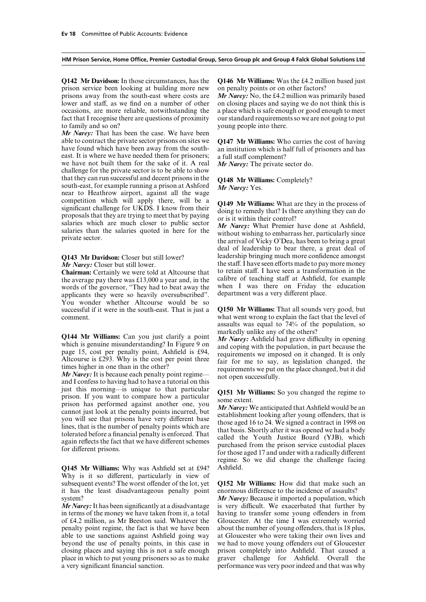prison service been looking at building more new on penalty points or on other factors? prisons away from the south-east where costs are *Mr Narey:* No, the £4.2 million was primarily based lower and staff, as we find on a number of other on closing places and saying we do not think this is occasions, are more reliable, notwithstanding the a place which is safe enough or good enough to meet fact that I recognise there are questions of proximity our standard requirements so we are not going to put to family and so on? young people into there.

*Mr Narey:* That has been the case. We have been able to contract the private sector prisons on sites we **Q147 Mr Williams:** Who carries the cost of having have found which have been away from the south-<br>an institution which is half full of prisoners and has east. It is where we have needed them for prisoners; a full staff complement? we have not built them for the sake of it. A real *Mr Narey:* The private sector do. challenge for the private sector is to be able to show that they can run successful and decent prisons in the **Q148 Mr Williams:** Completely? south-east, for example running a prison at Ashford *Mr Narey:* Yes. near to Heathrow airport, against all the wage competition which will apply there, will be a competition which will apply there, will be a<br>significant challenge for UKDS. I know from their<br>proposals that they are trying to meet that by paying<br>salaries which are much closer to public sector<br>salaries than the salar

**Chairman:** Certainly we were told at Altcourse that to retain staff. I have seen a transformation in the the average pay there was f 13,000 a year and in the calibre of teaching staff at Ashfield, for example the average pay there was £13,000 a year and, in the calibre of teaching staff at Ashfield, for example words of the governor "They had to beat away the when I was there on Friday the education words of the governor, "They had to beat away the when I was there on Friday the applicants they were so heavily oversubscribed" department was a very different place. applicants they were so heavily oversubscribed". You wonder whether Altcourse would be so successful if it were in the south-east. That is just a **Q150 Mr Williams:** That all sounds very good, but comment.<br>what went wrong to explain the fact that the level of

just this morning—is unique to that particular<br>prison. If you want to compare how a particular<br>prison has performed against another one, you<br>cannot just look at the penalty points incurred, but<br>cannot just look at the pena

**Q145 Mr Williams:** Why was Ashfield set at £94? Why is it so different, particularly in view of subsequent events? The worst offender of the lot, yet **Q152 Mr Williams:** How did that make such an it has the least disadvantageous penalty point enormous difference to the incidence of assaults? system? *Mr Narey:* Because it imported a population, which

in terms of the money we have taken from it, a total having to transfer some young offenders in from of £4.2 million, as Mr Beeston said. Whatever the Gloucester. At the time I was extremely worried penalty point regime, the fact is that we have been about the number of young offenders, that is 18 plus, able to use sanctions against Ashfield going way at Gloucester who were taking their own lives and beyond the use of penalty points, in this case in we had to move young offenders out of Gloucester closing places and saying this is not a safe enough prison completely into Ashfield. That caused a place in which to put young prisoners so as to make graver challenge for Ashfield. Overall the a very significant financial sanction. performance was very poor indeed and that was why

**Q142 Mr Davidson:** In those circumstances, has the **Q146 Mr Williams:** Was the £4.2 million based just

an institution which is half full of prisoners and has

deal of leadership to bear there, a great deal of **Q143 Mr Davidson:** Closer but still lower? leadership bringing much more confidence amongst *Mr Narey:* Closer but still lower.<br> **Chairman:** Certainly we were told at Altcourse that to retain staff. I have seen a transformation in the

> what went wrong to explain the fact that the level of assaults was equal to 74% of the population, so

**Q144 Mr Williams:** Can you just clarify a point<br>which is genuine misunderstanding? In Figure 9 on<br>page 15, cost per penalty point, Ashfield is £94,<br>Altcourse is £293. Why is the cost per point three<br>times higher in one t

regime. So we did change the challenge facing

*Mr Narey:* It has been significantly at a disadvantage is very difficult. We exacerbated that further by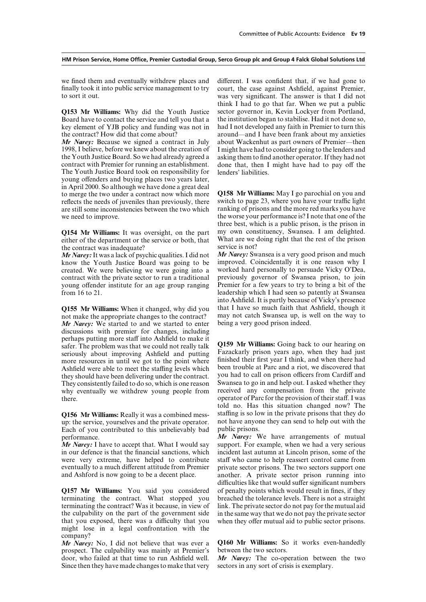to sort it out. was very significant. The answer is that I did not

key element of YJB policy and funding was not in

1998, I believe, before we knew about the creation of I might have had to consider going to the lenders and the Youth Justice Board. So we had already agreed a asking them to find another operator. If they had not contract with Premier for running an establishment. done that, then I might have had to pay off the The Youth Justice Board took on responsibility for lenders' liabilities. young offenders and buying places two years later, in April 2000. So although we have done a great deal to merge the two under a contract now which more **Q158 Mr Williams:** May I go parochial on you and reflects the needs of juveniles than previously, there switch to page 23, where you have your traffic light are still some inconsistencies between the two which ranking of prisons and the more red marks you have are still some inconsistencies between the two which we need to improve. the worse your performance is? I note that one of the

either of the department or the service or both, that What are we of the contract was inadequate? the contract was inadequate?<br>
Mr Narev: It was a lack of psychic qualities. I did not Mr Narey: Swansea is a very good prison and much

know the Youth Justice Board was going to be created. We were believing we were going into a worked hard personally to persuade Vicky O'Dea, contract with the private sector to run a traditional previously governor of Swansea prison, to join contract with the private sector to run a traditional young offender institute for an age group ranging young offender institute for an age group ranging Premier for a few years to try to bring a bit of the from 16 to 21.

**Q155 Mr Williams:** When it changed, why did you not make the appropriate changes to the contract? may not catch Swansea up, is well on the way to **Mr Narev:** We started to and we started to enter being a very good prison indeed. *Mr Narey:* We started to and we started to enter discussions with premier for changes, including perhaps putting more staff into Ashfield to make it **Q159 Mr Williams:** Going back to our hearing on seriously about improving Ashfield and putting Fazackarly prison years ago, when they had just seriously about improving Ashfield and putting Fazackarly prison years ago, wh more resources in until we got to the point where finished their first year I think, and when there had Ashfield were able to meet the staffing levels which been trouble at Parc and a riot, we discovered that Ashfield were able to meet the staffing levels which been trouble at Parc and a riot, we discovered that they should have been delivering under the contract. you had to call on prison officers from Cardiff and they should have been delivering under the contract. you had to call on prison officers from Cardiff and They consistently failed to do so, which is one reason Swansea to go in and help out. I asked whether they They consistently failed to do so, which is one reason Swansea to go in and help out. I asked whether they why eventually we withdrew young people from received any compensation from the private why eventually we withdrew young people from there. **Example 2018** operator of Parc for the provision of their staff. I was

up: the service, yourselves and the private operator. not have anyone they can send to this unbelievably bad public prisons. Each of you contributed to this unbelievably bad performance. *Mr Narey:* We have arrangements of mutual

in our defence is that the financial sanctions, which incident last autumn at Lincoln prison, some of the were very extreme, have helped to contribute staff who came to help reassert control came from eventually to a much different attitude from Premier private sector prisons. The two sectors support one and Ashford is now going to be a decent place. another. A private sector prison running into

terminating the contract. What stopped you breached the tolerance levels. There is not a straight terminating the contract? Was it because, in view of link. The private sector do not pay for the mutual aid the culpability on the part of the government side in the same way that we do not pay the private sector that you exposed, there was a difficulty that you when they offer mutual aid to public sector prisons. might lose in a legal confrontation with the company?

prospect. The culpability was mainly at Premier's between the two sectors.<br>door, who failed at that time to run Ashfield well. Mr Narey: The co-operation between the two door, who failed at that time to run Ashfield well. Since then they have made changes to make that very sectors in any sort of crisis is exemplary.

we fined them and eventually withdrew places and different. I was confident that, if we had gone to finally took it into public service management to try court, the case against Ashfield, against Premier. court, the case against Ashfield, against Premier, think I had to go that far. When we put a public **Q153 Mr Williams:** Why did the Youth Justice sector governor in, Kevin Lockyer from Portland, Board have to contact the service and tell you that a the institution began to stabilise. Had it not done so, Board have to contact the service and tell you that a the institution began to stabilise. Had it not done so, key element of YJB policy and funding was not in had I not developed any faith in Premier to turn this the contract? How did that come about? around—and I have been frank about my anxieties *Mr Narey:* Because we signed a contract in July about Wackenhut as part owners of Premier—then asking them to find another operator. If they had not

three best, which is a public prison, is the prison in<br>my own constituency, Swansea. I am delighted. **Q154 Mr Williams:** It was oversight, on the part my own constituency, Swansea. I am delighted. either of the department or the service or both, that What are we doing right that the rest of the prison

*Mr Narey:* It was a lack of psychic qualities. I did not *Mr Narey:* Swansea is a very good prison and much know the Youth Justice Board was going to be improved. Coincidentally it is one reason why I leadership which I had seen so patently at Swansea into Ashfield. It is partly because of Vicky's presence

told no. Has this situation changed now? The **Q156 Mr Williams:** Really it was a combined mess-<br>not have any one they can send to help out with the<br>not have any one they can send to help out with the

*Mr Narey:* I have to accept that. What I would say support. For example, when we had a very serious difficulties like that would suffer significant numbers **Q157 Mr Williams:** You said you considered of penalty points which would result in fines, if they

*Mr Narey:* No, I did not believe that was ever a **Q160 Mr Williams:** So it works even-handedly prospect. The culpability was mainly at Premier's between the two sectors.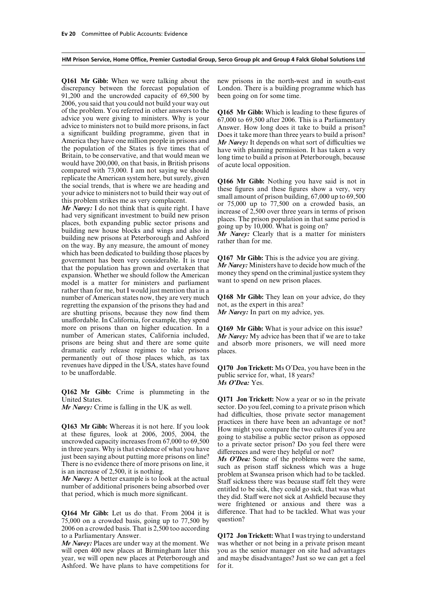discrepancy between the forecast population of London. There is a building programme which has 91,200 and the uncrowded capacity of 69,500 by been going on for some time. 2006, you said that you could not build your way out of the problem. You referred in other answers to the<br> **Q165 Mr Gibb:** Which is leading to these figures of<br>
advice you were giving to ministers. Why is your<br>  $\begin{array}{r} 67,000 \text{ to } 69,500 \text{ after } 2006. \text{ This is a Parlianmetry} \\ \text{advice to ministers not to build more prisons$ the population of the States is five times that of have with planning permission. It has taken a very Britain, to be conservative, and that would mean we long time to build a prison at Peterborough, because would have 200,

which has been dedicated to building those places by<br>government has been very considerable. It is true<br>that the population has grown and overtaken that<br> $Mr$  Narey: Ministers have to decide how much of the<br>expansion. Wheth model is a matter for ministers and parliament rather than for me, but I would just mention that in a number of American states now, they are very much **Q168** Mr Gibb: They lean on your advice, do they regretting the expansion of the prisons they had and not, as the expert in this area? regretting the expansion of the prisons they had and not, as the expert in this area?<br>are shutting prisons, because they now find them  $MrNarey$ : In part on my advice, yes. are shutting prisons, because they now find them unaffordable. In California, for example, they spend more on prisons than on higher education. In a **Q169 Mr Gibb:** What is your advice on this issue? number of American states, California included, *Mr Narey:* My advice has been that if we are to take prisons are being shut and there are some quite and absorb more prisoners, we will need more dramatic early release regimes to take prisons places. permanently out of those places which, as tax<br>revenues have dipped in the USA, states have found

**Q162 Mr Gibb:** Crime is plummeting in the United States. **Q171 Jon Trickett:** Now a year or so in the private

Q163 Mr Gibb: Whereas it is not here. If you look<br>at these figures, look at 2006, 2005, 2004, the<br>uncrowded capacity increases from 67,000 to 69,500<br>in three years. Why is that evidence of what you have<br>in three years. Wh

 $75,000$  on a crowded basis, going up to  $77,500$  by 2006 on a crowded basis. That is 2,500 too according to a Parliamentary Answer. **Q172 Jon Trickett:** What I was trying to understand

will open 400 new places at Birmingham later this you as the senior manager on site had advantages year, we will open new places at Peterborough and and maybe disadvantages? Just so we can get a feel Ashford. We have plans to have competitions for for it.

**Q161 Mr Gibb:** When we were talking about the new prisons in the north-west and in south-east

replicate the American system here, but surely, given<br>the social trends, that is where we are heading and<br>your advice to ministers not to build their way out of<br>this problem strikes me as very complacent.<br>that is quite ri

and absorb more prisoners, we will need more

revenues have dipped in the USA, states have found **Q170 Jon Trickett:** Ms O'Dea, you have been in the to be unaffordable. *Ms O'Dea:* Yes.

*Mr Narey:* Crime is falling in the UK as well. sector. Do you feel, coming to a private prison which had difficulties, those private sector management practices in there have been an advantage or not?

were frightened or anxious and there was a **Q164 Mr Gibb:** Let us do that. From 2004 it is difference. That had to be tackled. What was your 75,000 on a crowded basis going up to 77,500 by question?

*Mr Narey:* Places are under way at the moment. We was whether or not being in a private prison meant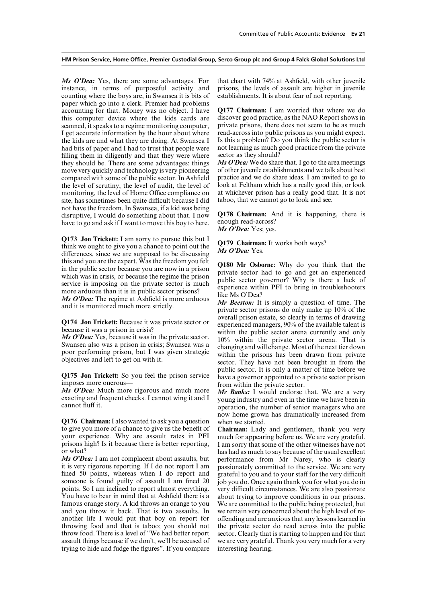*Ms O'Dea:* Yes, there are some advantages. For that chart with 74% at Ashfield, with other juvenile instance, in terms of purposeful activity and prisons, the levels of assault are higher in juvenile instance, in terms of purposeful activity and counting where the boys are, in Swansea it is bits of establishments. It is about fear of not reporting. paper which go into a clerk. Premier had problems accounting for that. Money was no object. I have **Q177 Chairman:** I am worried that where we do this computer device where the kids cards are discover good practice, as the NAO Report shows in scanned, it speaks to a regime monitoring computer, private prisons, there does not seem to be as much I get accurate information by the hour about where read-across into public prisons as you might expect. I get accurate information by the hour about where read-across into public prisons as you might expect.<br>the kids are and what they are doing. At Swansea I Is this a problem? Do you think the public sector is the kids are and what they are doing. At Swansea I Is this a problem? Do you think the public sector is had bits of paper and I had to trust that people were not learning as much good practice from the private had bits of paper and I had to trust that people were not learning as much good practice filling them in diligently and that they were where sector as they should? filling them in diligently and that they were where sector as they should?<br>they should be. There are some advantages: things  $\mathbf{M}$ s O'Dea: We do share that. I go to the area meetings they should be. There are some advantages: things *Ms O'Dea:* We do share that. I go to the area meetings<br>move very quickly and technology is very pioneering of other invenile establishments and we talk about best move very quickly and technology is very pioneering of other juvenile establishments and we talk about best compared with some of the public sector. In Ashfield practice and we do share ideas. I am invited to go to compared with some of the public sector. In Ashfield practice and we do share ideas. I am invited to go to the level of scrutiny, the level of audit, the level of look at Feltham which has a really good this, or look the level of scrutiny, the level of audit, the level of look at Feltham which has a really good this, or look monitoring, the level of Home Office compliance on at whichever prison has a really good that. It is not monitoring, the level of Home Office compliance on at whichever prison has a really good the site, has sometimes been quite difficult because I did taboo, that we cannot go to look and see. site, has sometimes been quite difficult because I did not have the freedom. In Swansea, if a kid was being disruptive, I would do something about that. I now **Q178 Chairman:** And it is happening, there is have to go and ask if I want to move this boy to here enough read-across? have to go and ask if I want to move this boy to here.

Q173 Jon Trickett: I am sorry to pursue this but I<br>think we ought to give you a chance to point out the<br>differences, since we are supposed to be discussing *Ms O'Dea:* Yes.<br>this and you are the expert. Was the freedom you this and you are the expert. Was the freedom you felt<br>in the public sector because you are now in a prison<br>which was in crisis, or because the regime the prison<br>service is imposing on the private sector is much<br>more arduou

**Q175 Jon Trickett:** So you feel the prison service<br>imposes more onerous—<br>*Ms O'Dea:* Much more rigorous and much more<br>exacting and frequent checks. I cannot wing it and I woung industry and even in the time we have been

**Q176 Chairman:** I also wanted to ask you a question to give you more of a chance to give us the benefit of to give you more of a chance to give us the benefit of **Chairman:** Lady and gentlemen, thank you very your experience. Why are assault rates in PFI much for appearing before us. We are very grateful.<br>prisons high? Is it because there is better reporting, I am sorry that some of the other witnesses have not prisons high? Is it because there is better reporting, I am sorry that some of the other witnesses have not<br>has had as much to say because of the usual excellent

*Ms O'Dea:* I am not complacent about assaults, but it is very rigorous reporting. If I do not report I am passionately committed to the service. We are very fined 50 points, whereas when I do report and grateful to you and to your staff for the very difficult fined 50 points, whereas when I do report and someone is found guilty of assault I am fined 20 points. So I am inclined to report almost everything. very difficult circumstances. We are also passionate You have to bear in mind that at Ashfield there is a about trying to improve conditions in our prisons. famous orange story. A kid throws an orange to you We are committed to the public being protected, but and you throw it back. That is two assaults. In we remain very concerned about the high level of reand you throw it back. That is two assaults. In another life I would put that boy on report for offending and are anxious that any lessons learned in throwing food and that is taboo; you should not the private sector do read across into the public throw food. There is a level of "We had better report sector. Clearly that is starting to happen and for that assault things because if we don't, we'll be accused of we are very grateful. Thank you very much for a very trying to hide and fudge the figures". If you compare interesting hearing.

*Ms O'Dea:* Yes; yes.

**Q174 Jon Trickett:** Because it was private sector or<br>because it was a prison in crisis?<br>*Ms O'Dea*: Yes, because it was in the private sector.<br>Swansea also was a prison in crisis; Swansea was a<br>poor performing prison, bu

now home grown has dramatically increased from

has had as much to say because of the usual excellent<br>performance from Mr Narey, who is clearly job you do. Once again thank you for what you do in about trying to improve conditions in our prisons.<br>We are committed to the public being protected, but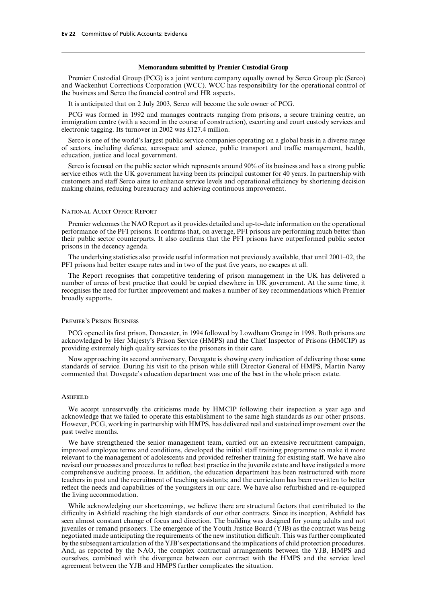### **Memorandum submitted by Premier Custodial Group**

Premier Custodial Group (PCG) is a joint venture company equally owned by Serco Group plc (Serco) and Wackenhut Corrections Corporation (WCC). WCC has responsibility for the operational control of the business and Serco the financial control and HR aspects.

It is anticipated that on 2 July 2003, Serco will become the sole owner of PCG.

PCG was formed in 1992 and manages contracts ranging from prisons, a secure training centre, an immigration centre (with a second in the course of construction), escorting and court custody services and electronic tagging. Its turnover in 2002 was £127.4 million.

Serco is one of the world's largest public service companies operating on a global basis in a diverse range of sectors, including defence, aerospace and science, public transport and traffic management, health, education, justice and local government.

Serco is focused on the public sector which represents around 90% of its business and has a strong public service ethos with the UK government having been its principal customer for 40 years. In partnership with customers and staff Serco aims to enhance service levels and operational efficiency by shortening decision making chains, reducing bureaucracy and achieving continuous improvement.

### National Audit Office Report

Premier welcomes the NAO Report as it provides detailed and up-to-date information on the operational performance of the PFI prisons. It confirms that, on average, PFI prisons are performing much better than their public sector counterparts. It also confirms that the PFI prisons have outperformed public sector prisons in the decency agenda.

The underlying statistics also provide useful information not previously available, that until 2001–02, the PFI prisons had better escape rates and in two of the past five years, no escapes at all.

The Report recognises that competitive tendering of prison management in the UK has delivered a number of areas of best practice that could be copied elsewhere in UK government. At the same time, it recognises the need for further improvement and makes a number of key recommendations which Premier broadly supports.

#### Premier's Prison Business

PCG opened its first prison, Doncaster, in 1994 followed by Lowdham Grange in 1998. Both prisons are acknowledged by Her Majesty's Prison Service (HMPS) and the Chief Inspector of Prisons (HMCIP) as providing extremely high quality services to the prisoners in their care.

Now approaching its second anniversary, Dovegate is showing every indication of delivering those same standards of service. During his visit to the prison while still Director General of HMPS, Martin Narey commented that Dovegate's education department was one of the best in the whole prison estate.

### **ASHFIELD**

We accept unreservedly the criticisms made by HMCIP following their inspection a year ago and acknowledge that we failed to operate this establishment to the same high standards as our other prisons. However, PCG, working in partnership with HMPS, has delivered real and sustained improvement over the past twelve months.

We have strengthened the senior management team, carried out an extensive recruitment campaign, improved employee terms and conditions, developed the initial staff training programme to make it more relevant to the management of adolescents and provided refresher training for existing staff. We have also revised our processes and procedures to reflect best practice in the juvenile estate and have instigated a more comprehensive auditing process. In addition, the education department has been restructured with more teachers in post and the recruitment of teaching assistants; and the curriculum has been rewritten to better reflect the needs and capabilities of the youngsters in our care. We have also refurbished and re-equipped the living accommodation.

While acknowledging our shortcomings, we believe there are structural factors that contributed to the difficulty in Ashfield reaching the high standards of our other contracts. Since its inception, Ashfield has seen almost constant change of focus and direction. The building was designed for young adults and not juveniles or remand prisoners. The emergence of the Youth Justice Board (YJB) as the contract was being negotiated made anticipating the requirements of the new institution difficult. This was further complicated by the subsequent articulation of the YJB's expectations and the implications of child protection procedures. And, as reported by the NAO, the complex contractual arrangements between the YJB, HMPS and ourselves, combined with the divergence between our contract with the HMPS and the service level agreement between the YJB and HMPS further complicates the situation.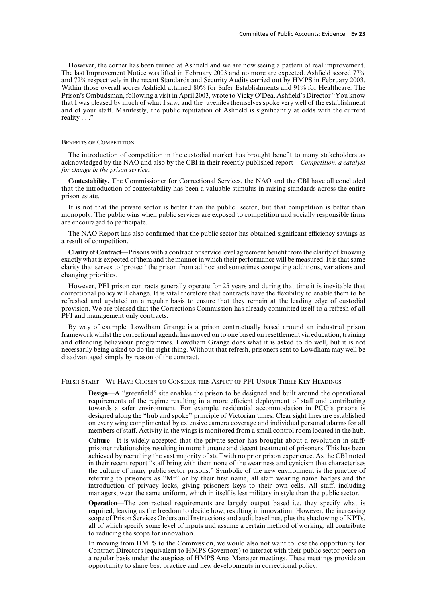However, the corner has been turned at Ashfield and we are now seeing a pattern of real improvement. The last Improvement Notice was lifted in February 2003 and no more are expected. Ashfield scored 77% and 72% respectively in the recent Standards and Security Audits carried out by HMPS in February 2003. Within those overall scores Ashfield attained 80% for Safer Establishments and 91% for Healthcare. The Prison's Ombudsman, following a visit in April 2003, wrote to Vicky O'Dea, Ashfield's Director "You know that I was pleased by much of what I saw, and the juveniles themselves spoke very well of the establishment and of your staff. Manifestly, the public reputation of Ashfield is significantly at odds with the current reality . . ."

### BENEFITS OF COMPETITION

The introduction of competition in the custodial market has brought benefit to many stakeholders as acknowledged by the NAO and also by the CBI in their recently published report—*Competition, a catalyst for change in the prison service*.

**Contestability,** The Commissioner for Correctional Services, the NAO and the CBI have all concluded that the introduction of contestability has been a valuable stimulus in raising standards across the entire prison estate.

It is not that the private sector is better than the public sector, but that competition is better than monopoly. The public wins when public services are exposed to competition and socially responsible firms are encouraged to participate.

The NAO Report has also confirmed that the public sector has obtained significant efficiency savings as a result of competition.

**Clarity of Contract—**Prisons with a contract or service level agreement benefit from the clarity of knowing exactly what is expected of them and the manner in which their performance will be measured. It is that same clarity that serves to 'protect' the prison from ad hoc and sometimes competing additions, variations and changing priorities.

However, PFI prison contracts generally operate for 25 years and during that time it is inevitable that correctional policy will change. It is vital therefore that contracts have the flexibility to enable them to be refreshed and updated on a regular basis to ensure that they remain at the leading edge of custodial provision. We are pleased that the Corrections Commission has already committed itself to a refresh of all PFI and management only contracts.

By way of example, Lowdham Grange is a prison contractually based around an industrial prison framework whilst the correctional agenda has moved on to one based on resettlement via education, training and offending behaviour programmes. Lowdham Grange does what it is asked to do well, but it is not necessarily being asked to do the right thing. Without that refresh, prisoners sent to Lowdham may well be disadvantaged simply by reason of the contract.

Fresh Start—We Have Chosen to Consider this Aspect of PFI Under Three Key Headings:

**Design—A** "greenfield" site enables the prison to be designed and built around the operational requirements of the regime resulting in a more efficient deployment of staff and contributing towards a safer environment. For example, residential accommodation in PCG's prisons is designed along the "hub and spoke" principle of Victorian times. Clear sight lines are established on every wing complimented by extensive camera coverage and individual personal alarms for all members of staff. Activity in the wings is monitored from a small control room located in the hub.

**Culture**—It is widely accepted that the private sector has brought about a revolution in staff prisoner relationships resulting in more humane and decent treatment of prisoners. This has been achieved by recruiting the vast majority of staff with no prior prison experience. As the CBI noted in their recent report "staff bring with them none of the weariness and cynicism that characterises the culture of many public sector prisons." Symbolic of the new environment is the practice of referring to prisoners as "Mr" or by their first name, all staff wearing name badges and the introduction of privacy locks, giving prisoners keys to their own cells. All staff, including managers, wear the same uniform, which in itself is less military in style than the public sector.

**Operation**—The contractual requirements are largely output based i.e. they specify what is required, leaving us the freedom to decide how, resulting in innovation. However, the increasing scope of Prison Services Orders and Instructions and audit baselines, plus the shadowing of KPTs, all of which specify some level of inputs and assume a certain method of working, all contribute to reducing the scope for innovation.

In moving from HMPS to the Commission, we would also not want to lose the opportunity for Contract Directors (equivalent to HMPS Governors) to interact with their public sector peers on a regular basis under the auspices of HMPS Area Manager meetings. These meetings provide an opportunity to share best practice and new developments in correctional policy.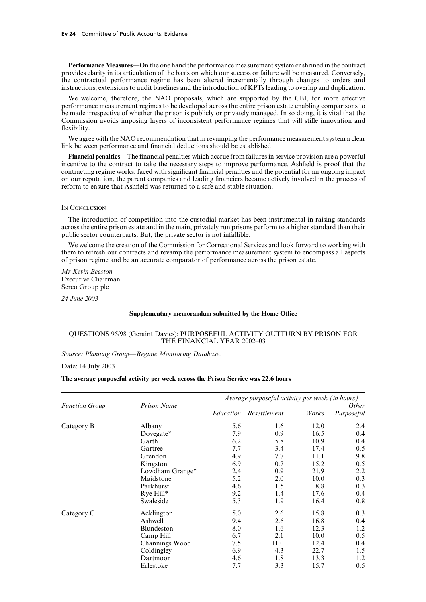**Performance Measures—**On the one hand the performance measurement system enshrined in the contract provides clarity in its articulation of the basis on which our success or failure will be measured. Conversely, the contractual performance regime has been altered incrementally through changes to orders and instructions, extensions to audit baselines and the introduction of KPTs leading to overlap and duplication.

We welcome, therefore, the NAO proposals, which are supported by the CBI, for more effective performance measurement regimes to be developed across the entire prison estate enabling comparisons to be made irrespective of whether the prison is publicly or privately managed. In so doing, it is vital that the Commission avoids imposing layers of inconsistent performance regimes that will stifle innovation and flexibility.

We agree with the NAO recommendation that in revamping the performance measurement system a clear link between performance and financial deductions should be established.

**Financial penalties—**The financial penalties which accrue from failures in service provision are a powerful incentive to the contract to take the necessary steps to improve performance. Ashfield is proof that the contracting regime works; faced with significant financial penalties and the potential for an ongoing impact on our reputation, the parent companies and leading financiers became actively involved in the process of reform to ensure that Ashfield was returned to a safe and stable situation.

### IN CONCLUSION

The introduction of competition into the custodial market has been instrumental in raising standards across the entire prison estate and in the main, privately run prisons perform to a higher standard than their public sector counterparts. But, the private sector is not infallible.

We welcome the creation of the Commission for Correctional Services and look forward to working with them to refresh our contracts and revamp the performance measurement system to encompass all aspects of prison regime and be an accurate comparator of performance across the prison estate.

*Mr Kevin Beeston* Executive Chairman Serco Group plc

*24 June 2003*

### **Supplementary memorandum submitted by the Home OYce**

### QUESTIONS 95/98 (Geraint Davies): PURPOSEFUL ACTIVITY OUTTURN BY PRISON FOR THE FINANCIAL YEAR 2002–03

*Source: Planning Group—Regime Monitoring Database.*

Date: 14 July 2003

### **The average purposeful activity per week across the Prison Service was 22.6 hours**

|                       |                    | Average purposeful activity per week (in hours) |              |       |                            |  |
|-----------------------|--------------------|-------------------------------------------------|--------------|-------|----------------------------|--|
| <b>Function Group</b> | <b>Prison Name</b> | Education                                       | Resettlement | Works | <i>Other</i><br>Purposeful |  |
| Category B            | Albany             | 5.6                                             | 1.6          | 12.0  | 2.4                        |  |
|                       | Dovegate*          | 7.9                                             | 0.9          | 16.5  | 0.4                        |  |
|                       | Garth              | 6.2                                             | 5.8          | 10.9  | 0.4                        |  |
|                       | Gartree            | 7.7                                             | 3.4          | 17.4  | 0.5                        |  |
|                       | Grendon            | 4.9                                             | 7.7          | 11.1  | 9.8                        |  |
|                       | Kingston           | 6.9                                             | 0.7          | 15.2  | 0.5                        |  |
|                       | Lowdham Grange*    | 2.4                                             | 0.9          | 21.9  | 2.2                        |  |
|                       | Maidstone          | 5.2                                             | 2.0          | 10.0  | 0.3                        |  |
|                       | Parkhurst          | 4.6                                             | 1.5          | 8.8   | 0.3                        |  |
|                       | Rye Hill*          | 9.2                                             | 1.4          | 17.6  | 0.4                        |  |
|                       | Swaleside          | 5.3                                             | 1.9          | 16.4  | 0.8                        |  |
| Category C            | Acklington         | 5.0                                             | 2.6          | 15.8  | 0.3                        |  |
|                       | Ashwell            | 9.4                                             | 2.6          | 16.8  | 0.4                        |  |
|                       | Blundeston         | 8.0                                             | 1.6          | 12.3  | 1.2                        |  |
|                       | Camp Hill          | 6.7                                             | 2.1          | 10.0  | 0.5                        |  |
|                       | Channings Wood     | 7.5                                             | 11.0         | 12.4  | 0.4                        |  |
|                       | Coldingley         | 6.9                                             | 4.3          | 22.7  | 1.5                        |  |
|                       | Dartmoor           | 4.6                                             | 1.8          | 13.3  | 1.2                        |  |
|                       | Erlestoke          | 7.7                                             | 3.3          | 15.7  | 0.5                        |  |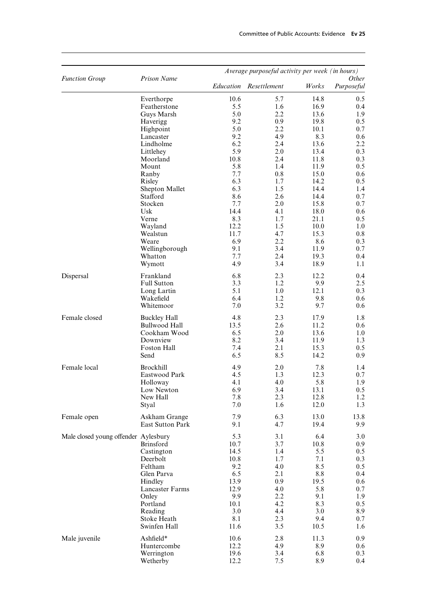| <b>Function Group</b>                | <b>Prison Name</b>   | Average purposeful activity per week (in hours)<br>Other |              |       |                  |  |
|--------------------------------------|----------------------|----------------------------------------------------------|--------------|-------|------------------|--|
|                                      |                      | Education                                                | Resettlement | Works | Purposeful       |  |
|                                      | Everthorpe           | 10.6                                                     | 5.7          | 14.8  | 0.5              |  |
|                                      | Featherstone         | 5.5                                                      | 1.6          | 16.9  | 0.4              |  |
|                                      | Guys Marsh           | 5.0                                                      | 2.2          | 13.6  | 1.9              |  |
|                                      | Haverigg             | 9.2                                                      | 0.9          | 19.8  | 0.5              |  |
|                                      | Highpoint            | 5.0                                                      | 2.2          | 10.1  | 0.7              |  |
|                                      | Lancaster            | 9.2                                                      | 4.9          | 8.3   | 0.6              |  |
|                                      | Lindholme            | 6.2                                                      | 2.4          | 13.6  | 2.2              |  |
|                                      | Littlehey            | 5.9                                                      | 2.0          | 13.4  | 0.3              |  |
|                                      | Moorland             | 10.8                                                     | 2.4          | 11.8  | 0.3              |  |
|                                      | Mount                | 5.8                                                      | 1.4          | 11.9  | 0.5              |  |
|                                      | Ranby                | 7.7                                                      | 0.8          | 15.0  | 0.6              |  |
|                                      | Risley               | 6.3                                                      | 1.7          | 14.2  | 0.5              |  |
|                                      | Shepton Mallet       | 6.3                                                      | 1.5          | 14.4  | 1.4              |  |
|                                      | Stafford             | 8.6                                                      | 2.6          | 14.4  | 0.7              |  |
|                                      | Stocken              | 7.7                                                      | 2.0          | 15.8  | 0.7              |  |
|                                      | Usk                  | 14.4                                                     | 4.1          | 18.0  | 0.6              |  |
|                                      | Verne                | 8.3                                                      | 1.7          | 21.1  | 0.5              |  |
|                                      | Wayland              | 12.2                                                     | 1.5          | 10.0  | 1.0              |  |
|                                      | Wealstun             | 11.7                                                     | 4.7          | 15.3  | 0.8              |  |
|                                      | Weare                | 6.9                                                      | 2.2          | 8.6   | 0.3              |  |
|                                      | Wellingborough       | 9.1                                                      | 3.4          | 11.9  | 0.7              |  |
|                                      | Whatton              | 7.7                                                      | 2.4          | 19.3  | 0.4              |  |
|                                      | Wymott               | 4.9                                                      | 3.4          | 18.9  | 1.1              |  |
| Dispersal                            | Frankland            | 6.8                                                      | 2.3          | 12.2  | 0.4              |  |
|                                      | <b>Full Sutton</b>   | 3.3                                                      | 1.2          | 9.9   | 2.5              |  |
|                                      | Long Lartin          | 5.1                                                      | 1.0          | 12.1  | 0.3              |  |
|                                      | Wakefield            | 6.4                                                      | 1.2          | 9.8   | 0.6              |  |
|                                      | Whitemoor            | 7.0                                                      | 3.2          | 9.7   | 0.6              |  |
| Female closed                        | <b>Buckley Hall</b>  | 4.8                                                      | 2.3          | 17.9  | 1.8              |  |
|                                      | <b>Bullwood Hall</b> | 13.5                                                     | 2.6          | 11.2  | 0.6              |  |
|                                      | Cookham Wood         | 6.5                                                      | 2.0          | 13.6  | 1.0              |  |
|                                      | Downview             | 8.2                                                      | 3.4          | 11.9  | 1.3              |  |
|                                      | Foston Hall          | 7.4                                                      | 2.1          | 15.3  | 0.5              |  |
|                                      | Send                 | 6.5                                                      | 8.5          | 14.2  | 0.9              |  |
| Female local                         | <b>Brockhill</b>     | 4.9                                                      | 2.0          | 7.8   | 1.4              |  |
|                                      | Eastwood Park        | 4.5                                                      | 1.3          | 12.3  | 0.7              |  |
|                                      | Holloway             | 4.1                                                      | 4.0          | 5.8   | 1.9              |  |
|                                      | Low Newton           | 6.9                                                      | 3.4          | 13.1  | 0.5              |  |
|                                      | New Hall             | 7.8                                                      | 2.3          | 12.8  | 1.2              |  |
|                                      | Styal                | 7.0                                                      | 1.6          | 12.0  | 1.3              |  |
| Female open                          | Askham Grange        | 7.9                                                      | 6.3          | 13.0  | 13.8             |  |
|                                      | East Sutton Park     | 9.1                                                      | 4.7          | 19.4  | 9.9              |  |
| Male closed young offender Aylesbury |                      | 5.3                                                      | 3.1          | 6.4   | 3.0              |  |
|                                      | <b>Brinsford</b>     | 10.7                                                     | 3.7          | 10.8  | 0.9 <sub>o</sub> |  |
|                                      | Castington           | 14.5                                                     | 1.4          | 5.5   | $0.5\,$          |  |
|                                      | Deerbolt             | 10.8                                                     | 1.7          | 7.1   | 0.3              |  |
|                                      | Feltham              | 9.2                                                      | 4.0          | 8.5   | 0.5              |  |
|                                      | Glen Parva           | 6.5                                                      | 2.1          | 8.8   | $0.4\,$          |  |
|                                      | Hindley              | 13.9                                                     | 0.9          | 19.5  | 0.6              |  |
|                                      | Lancaster Farms      | 12.9                                                     | 4.0          | 5.8   | 0.7              |  |
|                                      | Onley                | 9.9                                                      | 2.2          | 9.1   | 1.9              |  |
|                                      | Portland             | 10.1                                                     | 4.2          | 8.3   | 0.5              |  |
|                                      | Reading              | 3.0                                                      | 4.4          | 3.0   | 8.9              |  |
|                                      | Stoke Heath          | 8.1                                                      | 2.3          | 9.4   | 0.7              |  |
|                                      | Swinfen Hall         | 11.6                                                     | 3.5          | 10.5  | 1.6              |  |
| Male juvenile                        | Ashfield*            | 10.6                                                     | 2.8          | 11.3  | 0.9              |  |
|                                      | Huntercombe          | 12.2                                                     | 4.9          | 8.9   | $0.6\,$          |  |
|                                      | Werrington           | 19.6                                                     | 3.4          | 6.8   | 0.3              |  |
|                                      | Wetherby             | 12.2                                                     | 7.5          | 8.9   | 0.4              |  |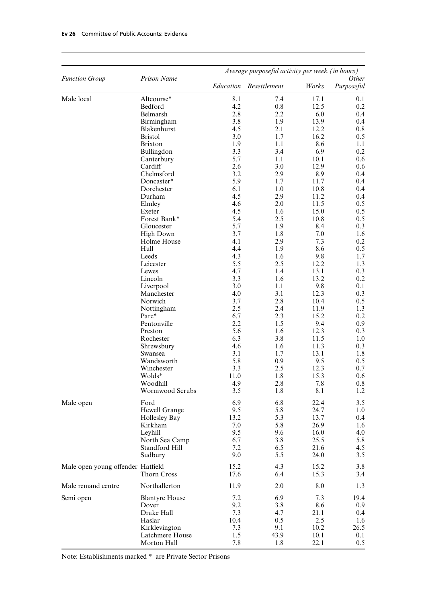| <b>Function Group</b>             | Prison Name           | Average purposeful activity per week (in hours)<br><i>Other</i> |              |              |            |  |
|-----------------------------------|-----------------------|-----------------------------------------------------------------|--------------|--------------|------------|--|
|                                   |                       | Education                                                       | Resettlement | Works        | Purposeful |  |
| Male local                        | Altcourse*            | 8.1                                                             | 7.4          | 17.1         | 0.1        |  |
|                                   | Bedford               | 4.2                                                             | 0.8          | 12.5         | 0.2        |  |
|                                   | Belmarsh              | 2.8                                                             | 2.2          | 6.0          | 0.4        |  |
|                                   | Birmingham            | 3.8                                                             | 1.9          | 13.9         | 0.4        |  |
|                                   | Blakenhurst           | 4.5                                                             | 2.1          | 12.2         | 0.8        |  |
|                                   | <b>Bristol</b>        | 3.0                                                             | 1.7          | 16.2         | 0.5        |  |
|                                   | <b>Brixton</b>        | 1.9                                                             | 1.1          | 8.6          | 1.1        |  |
|                                   | Bullingdon            | 3.3                                                             | 3.4          | 6.9          | 0.2        |  |
|                                   | Canterbury            | 5.7                                                             | 1.1          | 10.1         | 0.6        |  |
|                                   | Cardiff               | 2.6                                                             | 3.0          | 12.9         | 0.6        |  |
|                                   | Chelmsford            | 3.2                                                             | 2.9          | 8.9          | 0.4        |  |
|                                   | Doncaster*            | 5.9                                                             | 1.7          | 11.7         | 0.4        |  |
|                                   | Dorchester            | 6.1                                                             | 1.0          | 10.8         | 0.4        |  |
|                                   | Durham                | 4.5                                                             | 2.9          | 11.2         | 0.4        |  |
|                                   | Elmley                | 4.6                                                             | 2.0          | 11.5         | 0.5        |  |
|                                   | Exeter                | 4.5                                                             | 1.6          | 15.0         | 0.5        |  |
|                                   | Forest Bank*          | 5.4                                                             | 2.5          | 10.8         | 0.5        |  |
|                                   | Gloucester            | 5.7                                                             | 1.9          | 8.4          | 0.3        |  |
|                                   | <b>High Down</b>      | 3.7                                                             | 1.8          | 7.0          | 1.6        |  |
|                                   | Holme House           | 4.1                                                             | 2.9          | 7.3          | 0.2        |  |
|                                   | Hull                  | 4.4                                                             | 1.9          | 8.6          | 0.5        |  |
|                                   | Leeds                 | 4.3                                                             | 1.6          | 9.8          | 1.7        |  |
|                                   | Leicester             | 5.5                                                             | 2.5          | 12.2         | 1.3        |  |
|                                   | Lewes                 | 4.7                                                             | 1.4          | 13.1         | 0.3        |  |
|                                   | Lincoln               | 3.3                                                             | 1.6          | 13.2         | 0.2        |  |
|                                   | Liverpool             | 3.0                                                             | 1.1          | 9.8          | 0.1        |  |
|                                   | Manchester            | 4.0                                                             | 3.1          | 12.3         | 0.3        |  |
|                                   | Norwich               | 3.7                                                             | 2.8          | 10.4         | 0.5        |  |
|                                   | Nottingham            | 2.5                                                             | 2.4          | 11.9         | 1.3        |  |
|                                   | Parc*                 | 6.7                                                             | 2.3          | 15.2         | 0.2        |  |
|                                   | Pentonville           | 2.2                                                             | 1.5          | 9.4          | 0.9        |  |
|                                   | Preston               | 5.6                                                             | 1.6          | 12.3         | 0.3        |  |
|                                   | Rochester             | 6.3                                                             | 3.8          | 11.5         | 1.0        |  |
|                                   | Shrewsbury            | 4.6                                                             | 1.6          | 11.3         | 0.3        |  |
|                                   | Swansea               | 3.1                                                             | 1.7          | 13.1         | 1.8        |  |
|                                   | Wandsworth            | 5.8                                                             | 0.9          | 9.5          | 0.5        |  |
|                                   | Winchester            | 3.3                                                             | 2.5          | 12.3         | 0.7        |  |
|                                   | Wolds*                | 11.0                                                            | 1.8          | 15.3         | 0.6        |  |
|                                   | Woodhill              | 4.9                                                             | 2.8          | 7.8          | 0.8        |  |
|                                   | Wormwood Scrubs       | 3.5                                                             | 1.8          | 8.1          | 1.2        |  |
| Male open                         | Ford                  | 6.9                                                             | 6.8          | 22.4         | 3.5        |  |
|                                   | Hewell Grange         | 9.5                                                             | 5.8          | 24.7         | 1.0        |  |
|                                   | Hollesley Bay         | 13.2                                                            | 5.3          | 13.7         | 0.4        |  |
|                                   | Kirkham               | 7.0                                                             | 5.8          | 26.9         | 1.6        |  |
|                                   | Leyhill               | 9.5                                                             | 9.6          | 16.0         | 4.0        |  |
|                                   | North Sea Camp        | 6.7                                                             | 3.8          | 25.5         | 5.8        |  |
|                                   | Standford Hill        | 7.2<br>9.0                                                      | 6.5<br>5.5   | 21.6         | 4.5        |  |
|                                   | Sudbury               |                                                                 |              | 24.0         | 3.5        |  |
| Male open young offender Hatfield | Thorn Cross           | 15.2<br>17.6                                                    | 4.3<br>6.4   | 15.2<br>15.3 | 3.8<br>3.4 |  |
| Male remand centre                | Northallerton         | 11.9                                                            | 2.0          | 8.0          | 1.3        |  |
| Semi open                         | <b>Blantyre House</b> | 7.2                                                             | 6.9          | 7.3          | 19.4       |  |
|                                   | Dover                 | 9.2                                                             | 3.8          | 8.6          | 0.9        |  |
|                                   | Drake Hall            | 7.3                                                             | 4.7          | 21.1         | 0.4        |  |
|                                   | Haslar                | 10.4                                                            | 0.5          | 2.5          | 1.6        |  |
|                                   | Kirklevington         | 7.3                                                             | 9.1          | 10.2         | 26.5       |  |
|                                   | Latchmere House       | 1.5                                                             | 43.9         | 10.1         | 0.1        |  |
|                                   | Morton Hall           | 7.8                                                             | 1.8          | 22.1         | 0.5        |  |

Note: Establishments marked \* are Private Sector Prisons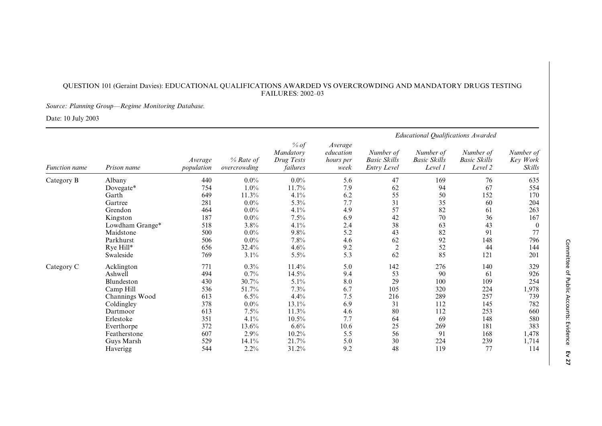### QUESTION 101 (Geraint Davies): EDUCATIONAL QUALIFICATIONS AWARDED VS OVERCROWDING AND MANDATORY DRUGS TESTING FAILURES: 2002–03

### *Source: Planning Group—Regime Monitoring Database.*

Date: 10 July 2003

|                      |                 |                       |                           |                                             | Educational Qualifications Awarded        |                                                        |                                             |                                             |                                 |  |
|----------------------|-----------------|-----------------------|---------------------------|---------------------------------------------|-------------------------------------------|--------------------------------------------------------|---------------------------------------------|---------------------------------------------|---------------------------------|--|
| <b>Function name</b> | Prison name     | Average<br>population | % Rate of<br>overcrowding | % of<br>Mandatory<br>Drug Tests<br>failures | Average<br>education<br>hours per<br>week | Number of<br><b>Basic Skills</b><br><b>Entry Level</b> | Number of<br><b>Basic Skills</b><br>Level 1 | Number of<br><b>Basic Skills</b><br>Level 2 | Number of<br>Key Work<br>Skills |  |
| Category B           | Albany          | 440                   | $0.0\%$                   | $0.0\%$                                     | 5.6                                       | 47                                                     | 169                                         | 76                                          | 635                             |  |
|                      | Dovegate*       | 754                   | $1.0\%$                   | 11.7%                                       | 7.9                                       | 62                                                     | 94                                          | 67                                          | 554                             |  |
|                      | Garth           | 649                   | 11.3%                     | 4.1%                                        | 6.2                                       | 55                                                     | 50                                          | 152                                         | 170                             |  |
|                      | Gartree         | 281                   | $0.0\%$                   | 5.3%                                        | 7.7                                       | 31                                                     | 35                                          | 60                                          | 204                             |  |
|                      | Grendon         | 464                   | $0.0\%$                   | 4.1%                                        | 4.9                                       | 57                                                     | 82                                          | 61                                          | 263                             |  |
|                      | Kingston        | 187                   | $0.0\%$                   | 7.5%                                        | 6.9                                       | 42                                                     | 70                                          | 36                                          | 167                             |  |
|                      | Lowdham Grange* | 518                   | 3.8%                      | 4.1%                                        | 2.4                                       | 38                                                     | 63                                          | 43                                          | $\theta$                        |  |
|                      | Maidstone       | 500                   | $0.0\%$                   | 9.8%                                        | 5.2                                       | 43                                                     | 82                                          | 91                                          | 77                              |  |
|                      | Parkhurst       | 506                   | $0.0\%$                   | 7.8%                                        | 4.6                                       | 62                                                     | 92                                          | 148                                         | 796                             |  |
|                      | Rye Hill*       | 656                   | 32.4%                     | 4.6%                                        | 9.2                                       | $\overline{c}$                                         | 52                                          | 44                                          | 144                             |  |
|                      | Swaleside       | 769                   | 3.1%                      | $5.5\%$                                     | 5.3                                       | 62                                                     | 85                                          | 121                                         | 201                             |  |
| Category C           | Acklington      | 771                   | 0.3%                      | 11.4%                                       | 5.0                                       | 142                                                    | 276                                         | 140                                         | 329                             |  |
|                      | Ashwell         | 494                   | 0.7%                      | 14.5%                                       | 9.4                                       | 53                                                     | 90                                          | 61                                          | 926                             |  |
|                      | Blundeston      | 430                   | 30.7%                     | 5.1%                                        | 8.0                                       | 29                                                     | 100                                         | 109                                         | 254                             |  |
|                      | Camp Hill       | 536                   | 51.7%                     | 7.3%                                        | 6.7                                       | 105                                                    | 320                                         | 224                                         | 1,978                           |  |
|                      | Channings Wood  | 613                   | 6.5%                      | 4.4%                                        | 7.5                                       | 216                                                    | 289                                         | 257                                         | 739                             |  |
|                      | Coldingley      | 378                   | $0.0\%$                   | 13.1%                                       | 6.9                                       | 31                                                     | 112                                         | 145                                         | 782                             |  |
|                      | Dartmoor        | 613                   | 7.5%                      | 11.3%                                       | 4.6                                       | 80                                                     | 112                                         | 253                                         | 660                             |  |
|                      | Erlestoke       | 351                   | 4.1%                      | 10.5%                                       | 7.7                                       | 64                                                     | 69                                          | 148                                         | 580                             |  |
|                      | Everthorpe      | 372                   | 13.6%                     | 6.6%                                        | 10.6                                      | 25                                                     | 269                                         | 181                                         | 383                             |  |
|                      | Featherstone    | 607                   | 2.9%                      | 10.2%                                       | 5.5                                       | 56                                                     | 91                                          | 168                                         | 1,478                           |  |
|                      | Guys Marsh      | 529                   | 14.1%                     | 21.7%                                       | 5.0                                       | 30                                                     | 224                                         | 239                                         | 1,714                           |  |
|                      | Haverigg        | 544                   | 2.2%                      | 31.2%                                       | 9.2                                       | 48                                                     | 119                                         | 77                                          | 114                             |  |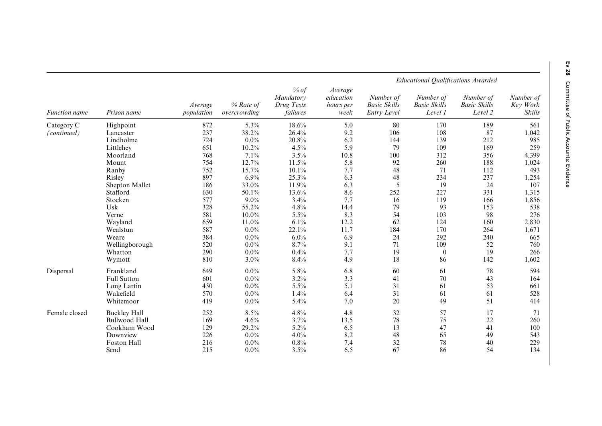|                      |                      |                       |                           |                                             |                                                  |                                                 |                                             | Educational Qualifications Awarded          |                                 |
|----------------------|----------------------|-----------------------|---------------------------|---------------------------------------------|--------------------------------------------------|-------------------------------------------------|---------------------------------------------|---------------------------------------------|---------------------------------|
| <b>Function</b> name | Prison name          | Average<br>population | % Rate of<br>overcrowding | % of<br>Mandatory<br>Drug Tests<br>failures | Average<br>education<br><i>hours per</i><br>week | Number of<br><b>Basic Skills</b><br>Entry Level | Number of<br><b>Basic Skills</b><br>Level 1 | Number of<br><b>Basic Skills</b><br>Level 2 | Number of<br>Key Work<br>Skills |
| Category C           | Highpoint            | 872                   | 5.3%                      | 18.6%                                       | 5.0                                              | 80                                              | 170                                         | 189                                         | 561                             |
| (continued)          | Lancaster            | 237                   | 38.2%                     | 26.4%                                       | 9.2                                              | 106                                             | 108                                         | 87                                          | 1,042                           |
|                      | Lindholme            | 724                   | $0.0\%$                   | 20.8%                                       | 6.2                                              | 144                                             | 139                                         | 212                                         | 985                             |
|                      | Littlehey            | 651                   | 10.2%                     | 4.5%                                        | 5.9                                              | 79                                              | 109                                         | 169                                         | 259                             |
|                      | Moorland             | 768                   | 7.1%                      | 3.5%                                        | 10.8                                             | 100                                             | 312                                         | 356                                         | 4,399                           |
|                      | Mount                | 754                   | 12.7%                     | 11.5%                                       | 5.8                                              | 92                                              | 260                                         | 188                                         | 1,024                           |
|                      | Ranby                | 752                   | 15.7%                     | 10.1%                                       | 7.7                                              | 48                                              | 71                                          | 112                                         | 493                             |
|                      | Risley               | 897                   | 6.9%                      | 25.3%                                       | 6.3                                              | 48                                              | 234                                         | 237                                         | 1,254                           |
|                      | Shepton Mallet       | 186                   | 33.0%                     | 11.9%                                       | 6.3                                              | 5                                               | 19                                          | 24                                          | 107                             |
|                      | Stafford             | 630                   | 50.1%                     | 13.6%                                       | 8.6                                              | 252                                             | 227                                         | 331                                         | 1,315                           |
|                      | Stocken              | 577                   | 9.0%                      | 3.4%                                        | 7.7                                              | 16                                              | 119                                         | 166                                         | 1,856                           |
|                      | Usk                  | 328                   | 55.2%                     | 4.8%                                        | 14.4                                             | 79                                              | 93                                          | 153                                         | 538                             |
|                      | Verne                | 581                   | $10.0\%$                  | $5.5\%$                                     | 8.3                                              | 54                                              | 103                                         | 98                                          | 276                             |
|                      | Wayland              | 659                   | 11.0%                     | 6.1%                                        | 12.2                                             | 62                                              | 124                                         | 160                                         | 2,830                           |
|                      | Wealstun             | 587                   | 0.0%                      | 22.1%                                       | 11.7                                             | 184                                             | 170                                         | 264                                         | 1,671                           |
|                      | Weare                | 384                   | $0.0\%$                   | 6.0%                                        | 6.9                                              | 24                                              | 292                                         | 240                                         | 665                             |
|                      | Wellingborough       | 520                   | $0.0\%$                   | 8.7%                                        | 9.1                                              | 71                                              | 109                                         | 52                                          | 760                             |
|                      | Whatton              | 290                   | $0.0\%$                   | 0.4%                                        | 7.7                                              | 19                                              | $\theta$                                    | 19                                          | 266                             |
|                      | Wymott               | 810                   | 3.0%                      | 8.4%                                        | 4.9                                              | 18                                              | 86                                          | 142                                         | 1,602                           |
| Dispersal            | Frankland            | 649                   | $0.0\%$                   | 5.8%                                        | 6.8                                              | 60                                              | 61                                          | 78                                          | 594                             |
|                      | Full Sutton          | 601                   | $0.0\%$                   | 3.2%                                        | 3.3                                              | 41                                              | 70                                          | 43                                          | 164                             |
|                      | Long Lartin          | 430                   | $0.0\%$                   | $5.5\%$                                     | 5.1                                              | 31                                              | 61                                          | 53                                          | 661                             |
|                      | Wakefield            | 570                   | 0.0%                      | 1.4%                                        | 6.4                                              | 31                                              | 61                                          | 61                                          | 528                             |
|                      | Whitemoor            | 419                   | $0.0\%$                   | 5.4%                                        | 7.0                                              | 20                                              | 49                                          | 51                                          | 414                             |
| Female closed        | <b>Buckley Hall</b>  | 252                   | 8.5%                      | 4.8%                                        | 4.8                                              | 32                                              | 57                                          | 17                                          | 71                              |
|                      | <b>Bullwood Hall</b> | 169                   | 4.6%                      | 3.7%                                        | 13.5                                             | 78                                              | 75                                          | 22                                          | 260                             |
|                      | Cookham Wood         | 129                   | 29.2%                     | 5.2%                                        | 6.5                                              | 13                                              | 47                                          | 41                                          | 100                             |
|                      | Downview             | 226                   | $0.0\%$                   | 4.0%                                        | 8.2                                              | 48                                              | 65                                          | 49                                          | 543                             |
|                      | Foston Hall          | 216                   | $0.0\%$                   | $0.8\%$                                     | 7.4                                              | 32                                              | 78                                          | 40                                          | 229                             |
|                      | Send                 | 215                   | 0.0%                      | 3.5%                                        | 6.5                                              | 67                                              | 86                                          | 54                                          | 134                             |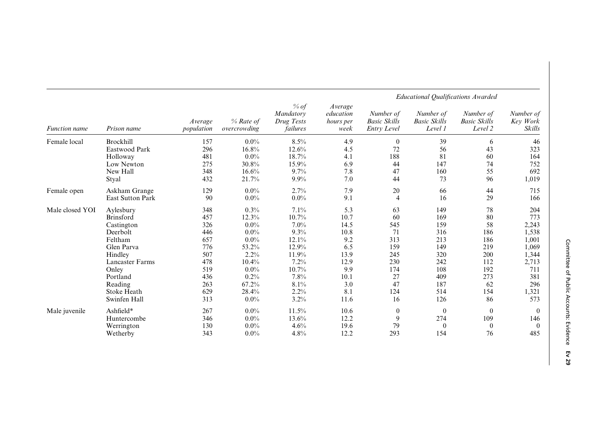|                      | Prison name             |                       |                             |                                               | <b>Educational Qualifications Awarded</b>        |                                                        |                                             |                                             |                                 |  |
|----------------------|-------------------------|-----------------------|-----------------------------|-----------------------------------------------|--------------------------------------------------|--------------------------------------------------------|---------------------------------------------|---------------------------------------------|---------------------------------|--|
| <b>Function</b> name |                         | Average<br>population | $%$ Rate of<br>overcrowding | $%$ of<br>Mandatory<br>Drug Tests<br>failures | Average<br>education<br><i>hours per</i><br>week | Number of<br><b>Basic Skills</b><br><b>Entry Level</b> | Number of<br><b>Basic Skills</b><br>Level 1 | Number of<br><b>Basic Skills</b><br>Level 2 | Number of<br>Key Work<br>Skills |  |
| Female local         | Brockhill               | 157                   | $0.0\%$                     | 8.5%                                          | 4.9                                              | $\theta$                                               | 39                                          | 6                                           | 46                              |  |
|                      | Eastwood Park           | 296                   | 16.8%                       | 12.6%                                         | 4.5                                              | 72                                                     | 56                                          | 43                                          | 323                             |  |
|                      | Holloway                | 481                   | $0.0\%$                     | 18.7%                                         | 4.1                                              | 188                                                    | 81                                          | 60                                          | 164                             |  |
|                      | Low Newton              | 275                   | 30.8%                       | 15.9%                                         | 6.9                                              | 44                                                     | 147                                         | 74                                          | 752                             |  |
|                      | New Hall                | 348                   | 16.6%                       | 9.7%                                          | 7.8                                              | 47                                                     | 160                                         | 55                                          | 692                             |  |
|                      | Styal                   | 432                   | 21.7%                       | 9.9%                                          | 7.0                                              | 44                                                     | 73                                          | 96                                          | 1,019                           |  |
| Female open          | Askham Grange           | 129                   | $0.0\%$                     | 2.7%                                          | 7.9                                              | 20                                                     | 66                                          | 44                                          | 715                             |  |
|                      | <b>East Sutton Park</b> | 90                    | $0.0\%$                     | $0.0\%$                                       | 9.1                                              | 4                                                      | 16                                          | 29                                          | 166                             |  |
| Male closed YOI      | Aylesbury               | 348                   | 0.3%                        | 7.1%                                          | 5.3                                              | 63                                                     | 149                                         | 78                                          | 204                             |  |
|                      | <b>Brinsford</b>        | 457                   | 12.3%                       | 10.7%                                         | 10.7                                             | 60                                                     | 169                                         | 80                                          | 773                             |  |
|                      | Castington              | 326                   | $0.0\%$                     | $7.0\%$                                       | 14.5                                             | 545                                                    | 159                                         | 58                                          | 2,243                           |  |
|                      | Deerbolt                | 446                   | $0.0\%$                     | 9.3%                                          | 10.8                                             | 71                                                     | 316                                         | 186                                         | 1,538                           |  |
|                      | Feltham                 | 657                   | $0.0\%$                     | 12.1%                                         | 9.2                                              | 313                                                    | 213                                         | 186                                         | 1,001                           |  |
|                      | Glen Parva              | 776                   | 53.2%                       | 12.9%                                         | 6.5                                              | 159                                                    | 149                                         | 219                                         | 1,069                           |  |
|                      | Hindley                 | 507                   | 2.2%                        | 11.9%                                         | 13.9                                             | 245                                                    | 320                                         | 200                                         | 1,344                           |  |
|                      | Lancaster Farms         | 478                   | 10.4%                       | 7.2%                                          | 12.9                                             | 230                                                    | 242                                         | 112                                         | 2,713                           |  |
|                      | Onley                   | 519                   | $0.0\%$                     | 10.7%                                         | 9.9                                              | 174                                                    | 108                                         | 192                                         | 711                             |  |
|                      | Portland                | 436                   | 0.2%                        | 7.8%                                          | 10.1                                             | 27                                                     | 409                                         | 273                                         | 381                             |  |
|                      | Reading                 | 263                   | 67.2%                       | 8.1%                                          | 3.0                                              | 47                                                     | 187                                         | 62                                          | 296                             |  |
|                      | Stoke Heath             | 629                   | 28.4%                       | 2.2%                                          | 8.1                                              | 124                                                    | 514                                         | 154                                         | 1,321                           |  |
|                      | Swinfen Hall            | 313                   | $0.0\%$                     | 3.2%                                          | 11.6                                             | 16                                                     | 126                                         | 86                                          | 573                             |  |
| Male juvenile        | Ashfield*               | 267                   | $0.0\%$                     | 11.5%                                         | 10.6                                             | $\theta$                                               | $\overline{0}$                              | $\theta$                                    | $\Omega$                        |  |
|                      | Huntercombe             | 346                   | $0.0\%$                     | 13.6%                                         | 12.2                                             | 9                                                      | 274                                         | 109                                         | 146                             |  |
|                      | Werrington              | 130                   | $0.0\%$                     | 4.6%                                          | 19.6                                             | 79                                                     | $\theta$                                    | $\overline{0}$                              | $\Omega$                        |  |
|                      | Wetherby                | 343                   | $0.0\%$                     | 4.8%                                          | 12.2                                             | 293                                                    | 154                                         | 76                                          | 485                             |  |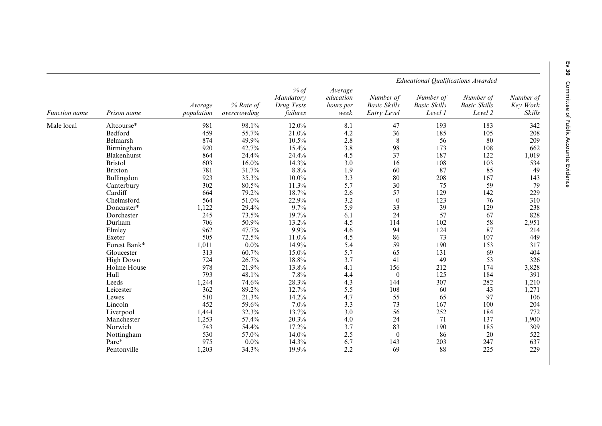|                      |                  |                       |                           |                                             |                                                  | <b>Educational Qualifications Awarded</b>       |                                             |                                             |                                                                                                                                                                                                                                                        |  |
|----------------------|------------------|-----------------------|---------------------------|---------------------------------------------|--------------------------------------------------|-------------------------------------------------|---------------------------------------------|---------------------------------------------|--------------------------------------------------------------------------------------------------------------------------------------------------------------------------------------------------------------------------------------------------------|--|
| <b>Function name</b> | Prison name      | Average<br>population | % Rate of<br>overcrowding | % of<br>Mandatory<br>Drug Tests<br>failures | Average<br>education<br><i>hours per</i><br>week | Number of<br><b>Basic Skills</b><br>Entry Level | Number of<br><b>Basic Skills</b><br>Level 1 | Number of<br><b>Basic Skills</b><br>Level 2 | Key Work                                                                                                                                                                                                                                               |  |
| Male local           | Altcourse*       | 981                   | 98.1%                     | 12.0%                                       | 8.1                                              | 47                                              | 193                                         | 183                                         | Number of<br>Skills<br>342<br>208<br>209<br>662<br>1,019<br>534<br>49<br>143<br>79<br>229<br>310<br>238<br>828<br>2,951<br>214<br>449<br>317<br>404<br>326<br>3,828<br>391<br>1,210<br>1,271<br>106<br>204<br>772<br>1,900<br>309<br>522<br>637<br>229 |  |
|                      | Bedford          | 459                   | 55.7%                     | 21.0%                                       | 4.2                                              | 36                                              | 185                                         | 105                                         |                                                                                                                                                                                                                                                        |  |
|                      | Belmarsh         | 874                   | 49.9%                     | 10.5%                                       | 2.8                                              | $8\,$                                           | 56                                          | 80                                          |                                                                                                                                                                                                                                                        |  |
|                      | Birmingham       | 920                   | 42.7%                     | 15.4%                                       | 3.8                                              | 98                                              | 173                                         | 108                                         |                                                                                                                                                                                                                                                        |  |
|                      | Blakenhurst      | 864                   | 24.4%                     | 24.4%                                       | 4.5                                              | 37                                              | 187                                         | 122                                         |                                                                                                                                                                                                                                                        |  |
|                      | <b>Bristol</b>   | 603                   | $16.0\%$                  | 14.3%                                       | 3.0                                              | 16                                              | 108                                         | 103                                         |                                                                                                                                                                                                                                                        |  |
|                      | <b>Brixton</b>   | 781                   | 31.7%                     | 8.8%                                        | 1.9                                              | 60                                              | 87                                          | 85                                          |                                                                                                                                                                                                                                                        |  |
|                      | Bullingdon       | 923                   | 35.3%                     | $10.0\%$                                    | 3.3                                              | 80                                              | 208                                         | 167                                         |                                                                                                                                                                                                                                                        |  |
|                      | Canterbury       | 302                   | $80.5\%$                  | 11.3%                                       | 5.7                                              | 30                                              | 75                                          | 59                                          |                                                                                                                                                                                                                                                        |  |
|                      | Cardiff          | 664                   | 79.2%                     | 18.7%                                       | 2.6                                              | 57                                              | 129                                         | 142                                         |                                                                                                                                                                                                                                                        |  |
|                      | Chelmsford       | 564                   | 51.0%                     | 22.9%                                       | 3.2                                              | $\boldsymbol{0}$                                | 123                                         | 76                                          |                                                                                                                                                                                                                                                        |  |
|                      | Doncaster*       | 1,122                 | 29.4%                     | 9.7%                                        | 5.9                                              | 33                                              | 39                                          | 129                                         |                                                                                                                                                                                                                                                        |  |
|                      | Dorchester       | 245                   | 73.5%                     | 19.7%                                       | 6.1                                              | 24                                              | 57                                          | 67                                          |                                                                                                                                                                                                                                                        |  |
|                      | Durham           | 706                   | 50.9%                     | 13.2%                                       | 4.5                                              | 114                                             | 102                                         | 58                                          |                                                                                                                                                                                                                                                        |  |
|                      | Elmley           | 962                   | 47.7%                     | 9.9%                                        | 4.6                                              | 94                                              | 124                                         | 87                                          |                                                                                                                                                                                                                                                        |  |
|                      | Exeter           | 505                   | 72.5%                     | 11.0%                                       | 4.5                                              | 86                                              | 73                                          | 107                                         |                                                                                                                                                                                                                                                        |  |
|                      | Forest Bank*     | 1,011                 | $0.0\%$                   | 14.9%                                       | 5.4                                              | 59                                              | 190                                         | 153                                         |                                                                                                                                                                                                                                                        |  |
|                      | Gloucester       | 313                   | 60.7%                     | $15.0\%$                                    | 5.7                                              | 65                                              | 131                                         | 69                                          |                                                                                                                                                                                                                                                        |  |
|                      | <b>High Down</b> | 724                   | 26.7%                     | $18.8\%$                                    | 3.7                                              | 41                                              | 49                                          | 53                                          |                                                                                                                                                                                                                                                        |  |
|                      | Holme House      | 978                   | 21.9%                     | 13.8%                                       | 4.1                                              | 156                                             | 212                                         | 174                                         |                                                                                                                                                                                                                                                        |  |
|                      | Hull             | 793                   | 48.1%                     | 7.8%                                        | 4.4                                              | $\boldsymbol{0}$                                | 125                                         | 184                                         |                                                                                                                                                                                                                                                        |  |
|                      | Leeds            | 1,244                 | 74.6%                     | 28.3%                                       | 4.3                                              | 144                                             | 307                                         | 282                                         |                                                                                                                                                                                                                                                        |  |
|                      | Leicester        | 362                   | 89.2%                     | 12.7%                                       | 5.5                                              | 108                                             | 60                                          | 43                                          |                                                                                                                                                                                                                                                        |  |
|                      | Lewes            | 510                   | 21.3%                     | 14.2%                                       | 4.7                                              | 55                                              | 65                                          | 97                                          |                                                                                                                                                                                                                                                        |  |
|                      | Lincoln          | 452                   | 59.6%                     | 7.0%                                        | 3.3                                              | 73                                              | 167                                         | 100                                         |                                                                                                                                                                                                                                                        |  |
|                      | Liverpool        | 1,444                 | 32.3%                     | 13.7%                                       | 3.0                                              | 56                                              | 252                                         | 184                                         |                                                                                                                                                                                                                                                        |  |
|                      | Manchester       | 1,253                 | 57.4%                     | 20.3%                                       | 4.0                                              | 24                                              | 71                                          | 137                                         |                                                                                                                                                                                                                                                        |  |
|                      | Norwich          | 743                   | 54.4%                     | 17.2%                                       | 3.7                                              | 83                                              | 190                                         | 185                                         |                                                                                                                                                                                                                                                        |  |
|                      | Nottingham       | 530                   | 57.0%                     | 14.0%                                       | 2.5                                              | $\boldsymbol{0}$                                | 86                                          | 20                                          |                                                                                                                                                                                                                                                        |  |
|                      | Parc*            | 975                   | $0.0\%$                   | 14.3%                                       | 6.7                                              | 143                                             | 203                                         | 247                                         |                                                                                                                                                                                                                                                        |  |
|                      | Pentonville      | 1,203                 | 34.3%                     | 19.9%                                       | 2.2                                              | 69                                              | 88                                          | 225                                         |                                                                                                                                                                                                                                                        |  |